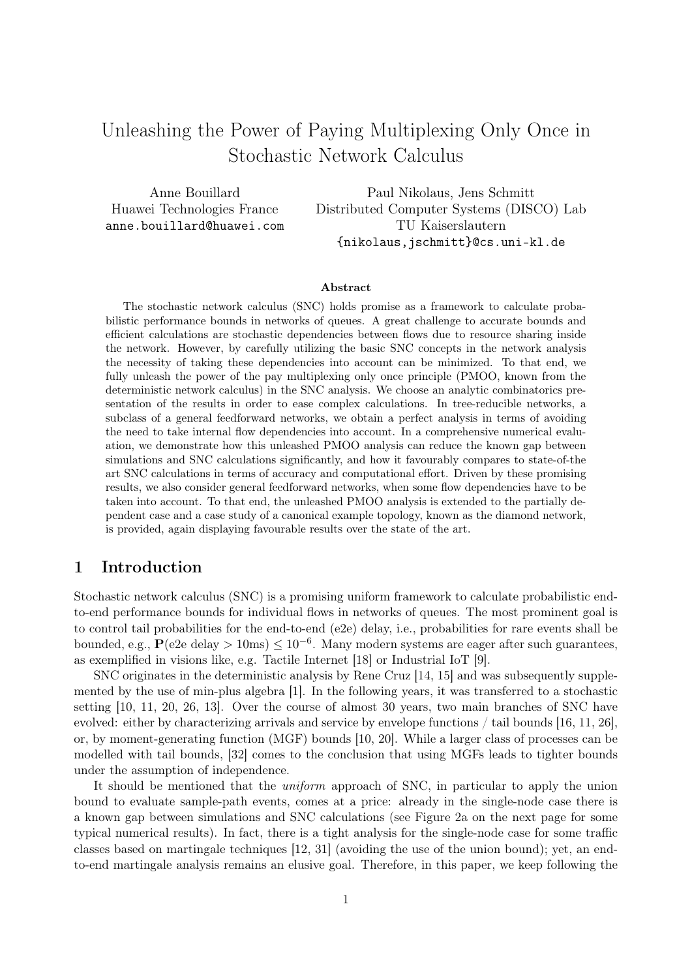# Unleashing the Power of Paying Multiplexing Only Once in Stochastic Network Calculus

Anne Bouillard Huawei Technologies France anne.bouillard@huawei.com

Paul Nikolaus, Jens Schmitt Distributed Computer Systems (DISCO) Lab TU Kaiserslautern {nikolaus,jschmitt}@cs.uni-kl.de

#### Abstract

The stochastic network calculus (SNC) holds promise as a framework to calculate probabilistic performance bounds in networks of queues. A great challenge to accurate bounds and efficient calculations are stochastic dependencies between flows due to resource sharing inside the network. However, by carefully utilizing the basic SNC concepts in the network analysis the necessity of taking these dependencies into account can be minimized. To that end, we fully unleash the power of the pay multiplexing only once principle (PMOO, known from the deterministic network calculus) in the SNC analysis. We choose an analytic combinatorics presentation of the results in order to ease complex calculations. In tree-reducible networks, a subclass of a general feedforward networks, we obtain a perfect analysis in terms of avoiding the need to take internal flow dependencies into account. In a comprehensive numerical evaluation, we demonstrate how this unleashed PMOO analysis can reduce the known gap between simulations and SNC calculations significantly, and how it favourably compares to state-of-the art SNC calculations in terms of accuracy and computational effort. Driven by these promising results, we also consider general feedforward networks, when some flow dependencies have to be taken into account. To that end, the unleashed PMOO analysis is extended to the partially dependent case and a case study of a canonical example topology, known as the diamond network, is provided, again displaying favourable results over the state of the art.

### 1 Introduction

Stochastic network calculus (SNC) is a promising uniform framework to calculate probabilistic endto-end performance bounds for individual flows in networks of queues. The most prominent goal is to control tail probabilities for the end-to-end (e2e) delay, i.e., probabilities for rare events shall be bounded, e.g.,  $P(e2e \text{ delay} > 10\text{ms}) \leq 10^{-6}$ . Many modern systems are eager after such guarantees, as exemplified in visions like, e.g. Tactile Internet [18] or Industrial IoT [9].

SNC originates in the deterministic analysis by Rene Cruz [14, 15] and was subsequently supplemented by the use of min-plus algebra [1]. In the following years, it was transferred to a stochastic setting [10, 11, 20, 26, 13]. Over the course of almost 30 years, two main branches of SNC have evolved: either by characterizing arrivals and service by envelope functions / tail bounds [16, 11, 26], or, by moment-generating function (MGF) bounds [10, 20]. While a larger class of processes can be modelled with tail bounds, [32] comes to the conclusion that using MGFs leads to tighter bounds under the assumption of independence.

It should be mentioned that the *uniform* approach of SNC, in particular to apply the union bound to evaluate sample-path events, comes at a price: already in the single-node case there is a known gap between simulations and SNC calculations (see Figure 2a on the next page for some typical numerical results). In fact, there is a tight analysis for the single-node case for some traffic classes based on martingale techniques [12, 31] (avoiding the use of the union bound); yet, an endto-end martingale analysis remains an elusive goal. Therefore, in this paper, we keep following the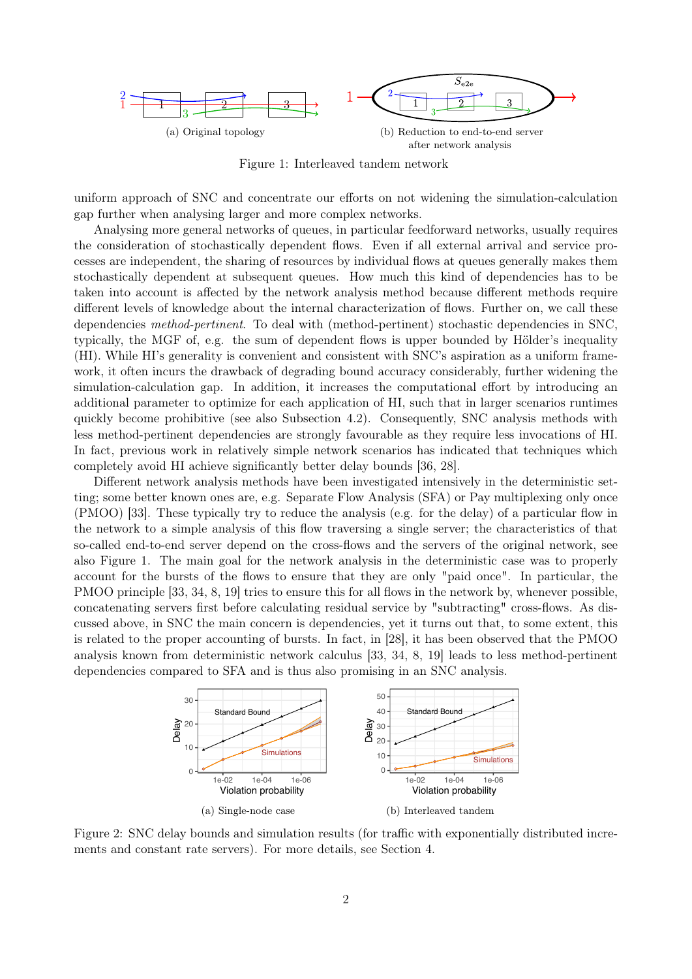

Figure 1: Interleaved tandem network

uniform approach of SNC and concentrate our efforts on not widening the simulation-calculation gap further when analysing larger and more complex networks.

Analysing more general networks of queues, in particular feedforward networks, usually requires the consideration of stochastically dependent flows. Even if all external arrival and service processes are independent, the sharing of resources by individual flows at queues generally makes them stochastically dependent at subsequent queues. How much this kind of dependencies has to be taken into account is affected by the network analysis method because different methods require different levels of knowledge about the internal characterization of flows. Further on, we call these dependencies *method-pertinent*. To deal with (method-pertinent) stochastic dependencies in SNC, typically, the MGF of, e.g. the sum of dependent flows is upper bounded by Hölder's inequality (HI). While HI's generality is convenient and consistent with SNC's aspiration as a uniform framework, it often incurs the drawback of degrading bound accuracy considerably, further widening the simulation-calculation gap. In addition, it increases the computational effort by introducing an additional parameter to optimize for each application of HI, such that in larger scenarios runtimes quickly become prohibitive (see also Subsection 4.2). Consequently, SNC analysis methods with less method-pertinent dependencies are strongly favourable as they require less invocations of HI. In fact, previous work in relatively simple network scenarios has indicated that techniques which completely avoid HI achieve significantly better delay bounds [36, 28].

Different network analysis methods have been investigated intensively in the deterministic setting; some better known ones are, e.g. Separate Flow Analysis (SFA) or Pay multiplexing only once (PMOO) [33]. These typically try to reduce the analysis (e.g. for the delay) of a particular flow in the network to a simple analysis of this flow traversing a single server; the characteristics of that so-called end-to-end server depend on the cross-flows and the servers of the original network, see also Figure 1. The main goal for the network analysis in the deterministic case was to properly account for the bursts of the flows to ensure that they are only "paid once". In particular, the PMOO principle [33, 34, 8, 19] tries to ensure this for all flows in the network by, whenever possible, concatenating servers first before calculating residual service by "subtracting" cross-flows. As discussed above, in SNC the main concern is dependencies, yet it turns out that, to some extent, this is related to the proper accounting of bursts. In fact, in [28], it has been observed that the PMOO analysis known from deterministic network calculus [33, 34, 8, 19] leads to less method-pertinent dependencies compared to SFA and is thus also promising in an SNC analysis.



Figure 2: SNC delay bounds and simulation results (for traffic with exponentially distributed increments and constant rate servers). For more details, see Section 4.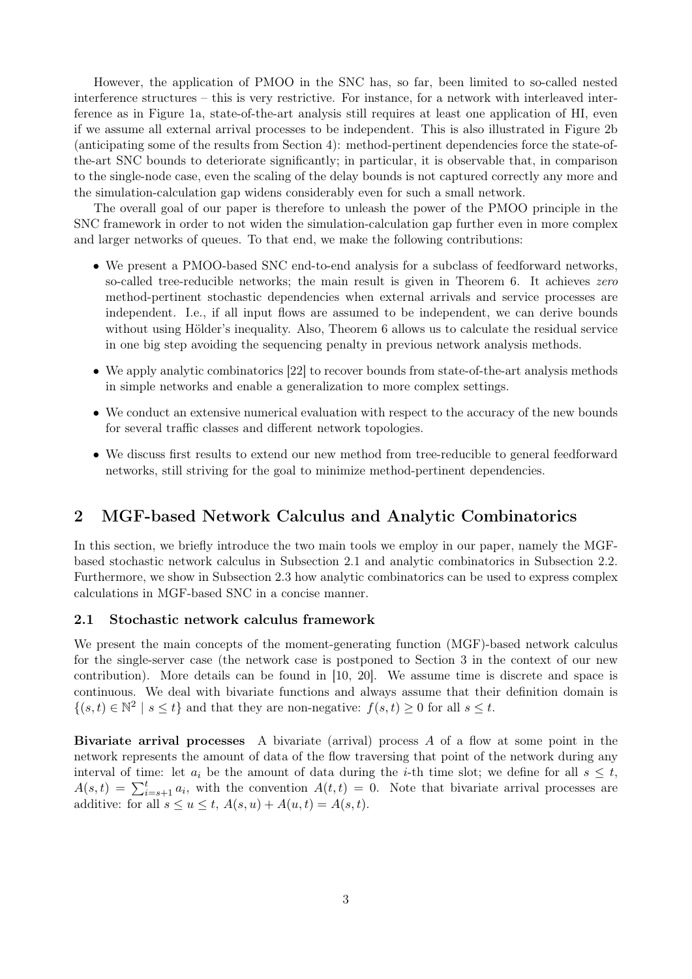However, the application of PMOO in the SNC has, so far, been limited to so-called nested interference structures – this is very restrictive. For instance, for a network with interleaved interference as in Figure 1a, state-of-the-art analysis still requires at least one application of HI, even if we assume all external arrival processes to be independent. This is also illustrated in Figure 2b (anticipating some of the results from Section 4): method-pertinent dependencies force the state-ofthe-art SNC bounds to deteriorate significantly; in particular, it is observable that, in comparison to the single-node case, even the scaling of the delay bounds is not captured correctly any more and the simulation-calculation gap widens considerably even for such a small network.

The overall goal of our paper is therefore to unleash the power of the PMOO principle in the SNC framework in order to not widen the simulation-calculation gap further even in more complex and larger networks of queues. To that end, we make the following contributions:

- We present a PMOO-based SNC end-to-end analysis for a subclass of feedforward networks, so-called tree-reducible networks; the main result is given in Theorem 6. It achieves zero method-pertinent stochastic dependencies when external arrivals and service processes are independent. I.e., if all input flows are assumed to be independent, we can derive bounds without using Hölder's inequality. Also, Theorem 6 allows us to calculate the residual service in one big step avoiding the sequencing penalty in previous network analysis methods.
- We apply analytic combinatorics [22] to recover bounds from state-of-the-art analysis methods in simple networks and enable a generalization to more complex settings.
- We conduct an extensive numerical evaluation with respect to the accuracy of the new bounds for several traffic classes and different network topologies.
- We discuss first results to extend our new method from tree-reducible to general feedforward networks, still striving for the goal to minimize method-pertinent dependencies.

### 2 MGF-based Network Calculus and Analytic Combinatorics

In this section, we briefly introduce the two main tools we employ in our paper, namely the MGFbased stochastic network calculus in Subsection 2.1 and analytic combinatorics in Subsection 2.2. Furthermore, we show in Subsection 2.3 how analytic combinatorics can be used to express complex calculations in MGF-based SNC in a concise manner.

#### 2.1 Stochastic network calculus framework

We present the main concepts of the moment-generating function (MGF)-based network calculus for the single-server case (the network case is postponed to Section 3 in the context of our new contribution). More details can be found in [10, 20]. We assume time is discrete and space is continuous. We deal with bivariate functions and always assume that their definition domain is  $\{(s,t)\in\mathbb{N}^2\mid s\leq t\}$  and that they are non-negative:  $f(s,t)\geq 0$  for all  $s\leq t$ .

**Bivariate arrival processes** A bivariate (arrival) process  $A$  of a flow at some point in the network represents the amount of data of the flow traversing that point of the network during any interval of time: let  $a_i$  be the amount of data during the *i*-th time slot; we define for all  $s \leq t$ ,  $A(s,t) = \sum_{i=s+1}^{t} a_i$ , with the convention  $A(t,t) = 0$ . Note that bivariate arrival processes are additive: for all  $s \le u \le t$ ,  $A(s, u) + A(u, t) = A(s, t)$ .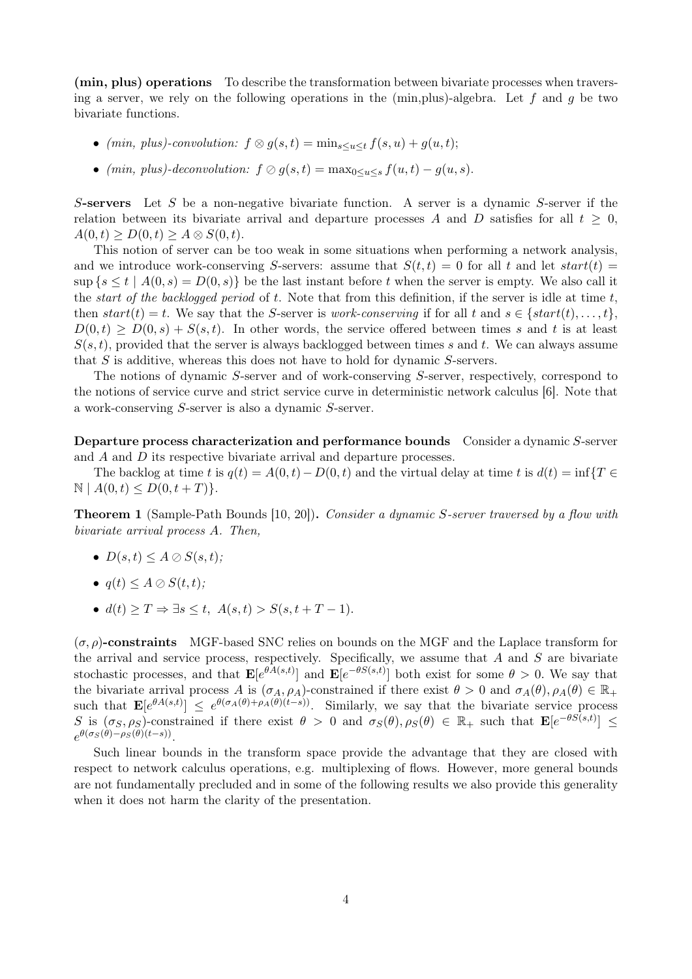(min, plus) operations To describe the transformation between bivariate processes when traversing a server, we rely on the following operations in the (min, plus)-algebra. Let f and q be two bivariate functions.

- (min, plus)-convolution:  $f \otimes g(s,t) = \min_{s \leq u \leq t} f(s,u) + g(u,t);$
- (min, plus)-deconvolution:  $f \oslash g(s,t) = \max_{0 \leq u \leq s} f(u,t) g(u,s)$ .

S-servers Let S be a non-negative bivariate function. A server is a dynamic S-server if the relation between its bivariate arrival and departure processes A and D satisfies for all  $t \geq 0$ ,  $A(0, t) \ge D(0, t) \ge A \otimes S(0, t).$ 

This notion of server can be too weak in some situations when performing a network analysis, and we introduce work-conserving S-servers: assume that  $S(t, t) = 0$  for all t and let start(t) =  $\sup \{s \leq t \mid A(0, s) = D(0, s)\}\$ be the last instant before t when the server is empty. We also call it the *start of the backlogged period* of  $t$ . Note that from this definition, if the server is idle at time  $t$ , then  $start(t) = t$ . We say that the S-server is work-conserving if for all t and  $s \in \{start(t), \ldots, t\}$ ,  $D(0,t) > D(0,s) + S(s,t)$ . In other words, the service offered between times s and t is at least  $S(s,t)$ , provided that the server is always backlogged between times s and t. We can always assume that S is additive, whereas this does not have to hold for dynamic S-servers.

The notions of dynamic S-server and of work-conserving S-server, respectively, correspond to the notions of service curve and strict service curve in deterministic network calculus [6]. Note that a work-conserving S-server is also a dynamic S-server.

Departure process characterization and performance bounds Consider a dynamic S-server and A and D its respective bivariate arrival and departure processes.

The backlog at time t is  $q(t) = A(0, t) - D(0, t)$  and the virtual delay at time t is  $d(t) = \inf\{T \in$  $\mathbb{N} \mid A(0, t) \leq D(0, t + T)$ .

Theorem 1 (Sample-Path Bounds [10, 20]). Consider a dynamic S-server traversed by a flow with bivariate arrival process A. Then,

- $D(s,t) \leq A \oslash S(s,t);$
- $q(t) \leq A \otimes S(t,t)$ ;
- $d(t) \geq T \Rightarrow \exists s \leq t, A(s,t) > S(s,t+T-1).$

 $(\sigma, \rho)$ -constraints MGF-based SNC relies on bounds on the MGF and the Laplace transform for the arrival and service process, respectively. Specifically, we assume that  $A$  and  $S$  are bivariate stochastic processes, and that  $\mathbf{E}[e^{\theta A(s,t)}]$  and  $\mathbf{E}[e^{-\theta S(s,t)}]$  both exist for some  $\theta > 0$ . We say that the bivariate arrival process A is  $(\sigma_A, \rho_A)$ -constrained if there exist  $\theta > 0$  and  $\sigma_A(\theta), \rho_A(\theta) \in \mathbb{R}_+$ such that  $\mathbf{E}[e^{\theta A(s,t)}] \leq e^{\theta(\sigma_A(\theta)+\rho_A(\theta)(t-s))}$ . Similarly, we say that the bivariate service process S is  $(\sigma_S, \rho_S)$ -constrained if there exist  $\theta > 0$  and  $\sigma_S(\theta), \rho_S(\theta) \in \mathbb{R}_+$  such that  $\mathbf{E}[e^{-\theta S(s,t)}] \leq$  $e^{\theta(\sigma_S(\theta)-\rho_S(\theta)(t-s))}.$ 

Such linear bounds in the transform space provide the advantage that they are closed with respect to network calculus operations, e.g. multiplexing of flows. However, more general bounds are not fundamentally precluded and in some of the following results we also provide this generality when it does not harm the clarity of the presentation.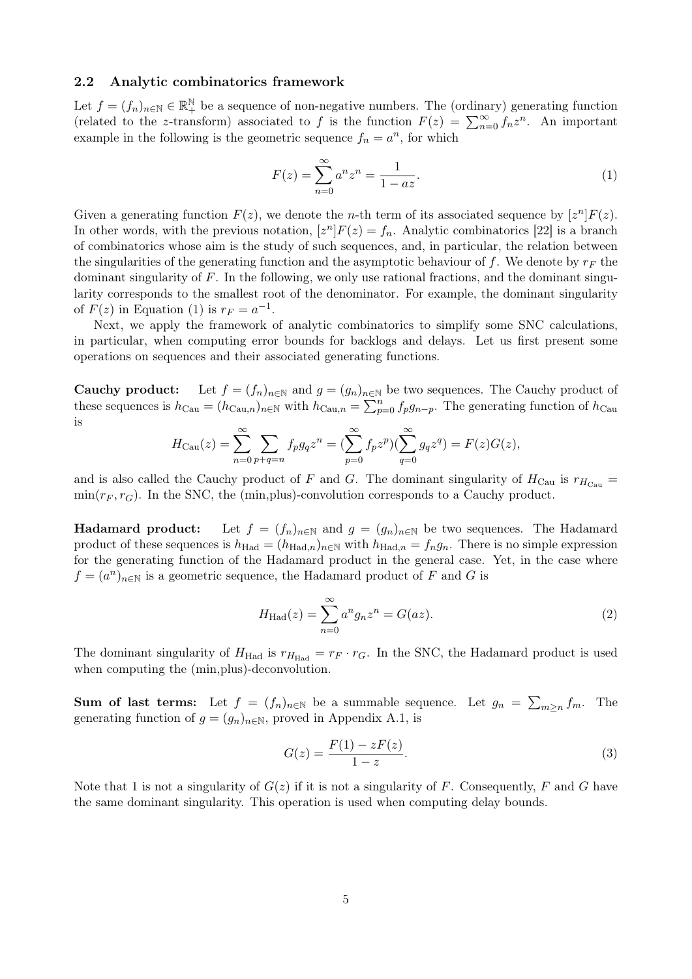#### 2.2 Analytic combinatorics framework

Let  $f = (f_n)_{n \in \mathbb{N}} \in \mathbb{R}^{\mathbb{N}}_+$  be a sequence of non-negative numbers. The (ordinary) generating function (related to the z-transform) associated to f is the function  $F(z) = \sum_{n=0}^{\infty} f_n z^n$ . An important example in the following is the geometric sequence  $f_n = a^n$ , for which

$$
F(z) = \sum_{n=0}^{\infty} a^n z^n = \frac{1}{1 - az}.
$$
 (1)

Given a generating function  $F(z)$ , we denote the *n*-th term of its associated sequence by  $[z^n]F(z)$ . In other words, with the previous notation,  $[z^n]F(z) = f_n$ . Analytic combinatorics [22] is a branch of combinatorics whose aim is the study of such sequences, and, in particular, the relation between the singularities of the generating function and the asymptotic behaviour of f. We denote by  $r_F$  the dominant singularity of  $F$ . In the following, we only use rational fractions, and the dominant singularity corresponds to the smallest root of the denominator. For example, the dominant singularity of  $F(z)$  in Equation (1) is  $r_F = a^{-1}$ .

Next, we apply the framework of analytic combinatorics to simplify some SNC calculations, in particular, when computing error bounds for backlogs and delays. Let us first present some operations on sequences and their associated generating functions.

**Cauchy product:** Let  $f = (f_n)_{n \in \mathbb{N}}$  and  $g = (g_n)_{n \in \mathbb{N}}$  be two sequences. The Cauchy product of these sequences is  $h_{\text{Cau}} = (h_{\text{Cau},n})_{n \in \mathbb{N}}$  with  $h_{\text{Cau},n} = \sum_{p=0}^{n} f_p g_{n-p}$ . The generating function of  $h_{\text{Cau}}$ is

$$
H_{\text{Cau}}(z) = \sum_{n=0}^{\infty} \sum_{p+q=n} f_p g_q z^n = \left(\sum_{p=0}^{\infty} f_p z^p\right) \left(\sum_{q=0}^{\infty} g_q z^q\right) = F(z)G(z),
$$

and is also called the Cauchy product of F and G. The dominant singularity of  $H_{\text{Cau}}$  is  $r_{H_{\text{Cau}}}$  $min(r_F, r_G)$ . In the SNC, the (min, plus)-convolution corresponds to a Cauchy product.

**Hadamard product:** Let  $f = (f_n)_{n \in \mathbb{N}}$  and  $g = (g_n)_{n \in \mathbb{N}}$  be two sequences. The Hadamard product of these sequences is  $h_{\text{Had}} = (h_{\text{Had},n})_{n \in \mathbb{N}}$  with  $h_{\text{Had},n} = f_n g_n$ . There is no simple expression for the generating function of the Hadamard product in the general case. Yet, in the case where  $f = (a^n)_{n \in \mathbb{N}}$  is a geometric sequence, the Hadamard product of F and G is

$$
H_{\text{Had}}(z) = \sum_{n=0}^{\infty} a^n g_n z^n = G(az). \tag{2}
$$

The dominant singularity of  $H_{\text{Had}}$  is  $r_{H_{\text{Had}}} = r_F \cdot r_G$ . In the SNC, the Hadamard product is used when computing the (min, plus)-deconvolution.

**Sum of last terms:** Let  $f = (f_n)_{n \in \mathbb{N}}$  be a summable sequence. Let  $g_n = \sum_{m \geq n} f_m$ . The generating function of  $g = (g_n)_{n \in \mathbb{N}}$ , proved in Appendix A.1, is

$$
G(z) = \frac{F(1) - zF(z)}{1 - z}.
$$
\n(3)

Note that 1 is not a singularity of  $G(z)$  if it is not a singularity of F. Consequently, F and G have the same dominant singularity. This operation is used when computing delay bounds.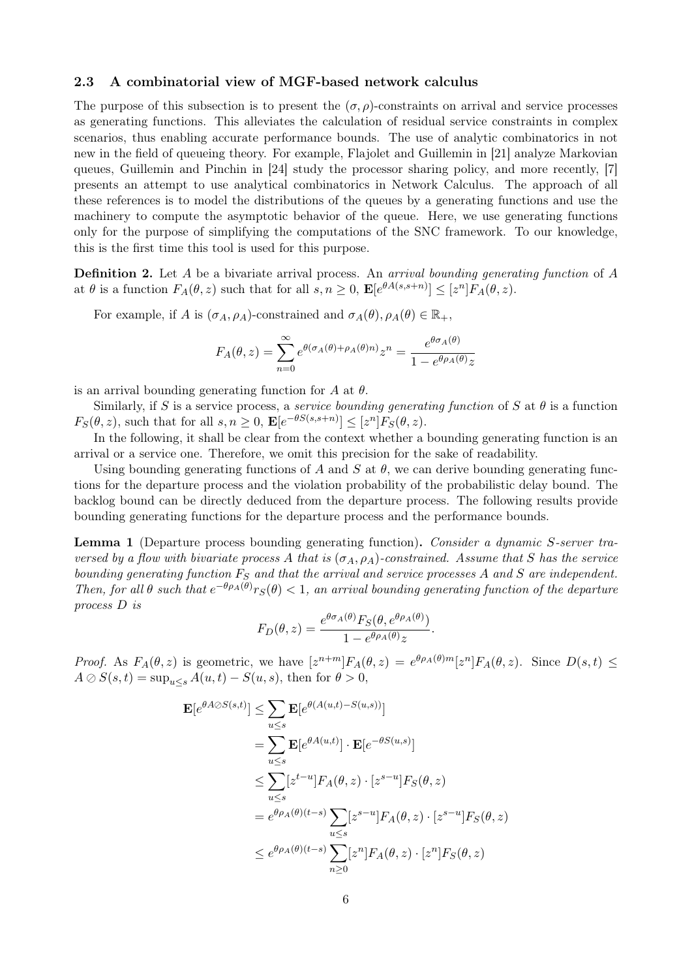#### 2.3 A combinatorial view of MGF-based network calculus

The purpose of this subsection is to present the  $(\sigma, \rho)$ -constraints on arrival and service processes as generating functions. This alleviates the calculation of residual service constraints in complex scenarios, thus enabling accurate performance bounds. The use of analytic combinatorics in not new in the field of queueing theory. For example, Flajolet and Guillemin in [21] analyze Markovian queues, Guillemin and Pinchin in [24] study the processor sharing policy, and more recently, [7] presents an attempt to use analytical combinatorics in Network Calculus. The approach of all these references is to model the distributions of the queues by a generating functions and use the machinery to compute the asymptotic behavior of the queue. Here, we use generating functions only for the purpose of simplifying the computations of the SNC framework. To our knowledge, this is the first time this tool is used for this purpose.

**Definition 2.** Let A be a bivariate arrival process. An arrival bounding generating function of A at  $\theta$  is a function  $F_A(\theta, z)$  such that for all  $s, n \geq 0$ ,  $\mathbf{E}[e^{\theta A(s, s+n)}] \leq [z^n] F_A(\theta, z)$ .

For example, if A is  $(\sigma_A, \rho_A)$ -constrained and  $\sigma_A(\theta), \rho_A(\theta) \in \mathbb{R}_+$ ,

$$
F_A(\theta, z) = \sum_{n=0}^{\infty} e^{\theta(\sigma_A(\theta) + \rho_A(\theta)n)} z^n = \frac{e^{\theta \sigma_A(\theta)}}{1 - e^{\theta \rho_A(\theta)} z}
$$

is an arrival bounding generating function for A at  $\theta$ .

Similarly, if S is a service process, a *service bounding generating function* of S at  $\theta$  is a function  $F_S(\theta, z)$ , such that for all  $s, n \geq 0$ ,  $\mathbf{E}[e^{-\theta S(s, s+n)}] \leq [z^n]F_S(\theta, z)$ .

In the following, it shall be clear from the context whether a bounding generating function is an arrival or a service one. Therefore, we omit this precision for the sake of readability.

Using bounding generating functions of A and S at  $\theta$ , we can derive bounding generating functions for the departure process and the violation probability of the probabilistic delay bound. The backlog bound can be directly deduced from the departure process. The following results provide bounding generating functions for the departure process and the performance bounds.

Lemma 1 (Departure process bounding generating function). Consider a dynamic S-server traversed by a flow with bivariate process A that is  $(\sigma_A, \rho_A)$ -constrained. Assume that S has the service bounding generating function  $F_S$  and that the arrival and service processes A and S are independent. Then, for all  $\theta$  such that  $e^{-\theta \rho_A(\theta)} r_S(\theta) < 1$ , an arrival bounding generating function of the departure process D is

$$
F_D(\theta, z) = \frac{e^{\theta \sigma_A(\theta)} F_S(\theta, e^{\theta \rho_A(\theta)})}{1 - e^{\theta \rho_A(\theta)} z}.
$$

*Proof.* As  $F_A(\theta, z)$  is geometric, we have  $[z^{n+m}]F_A(\theta, z) = e^{\theta \rho_A(\theta)m}[z^n]F_A(\theta, z)$ . Since  $D(s, t) \leq$  $A \oslash S(s,t) = \sup_{u \le s} A(u,t) - S(u,s)$ , then for  $\theta > 0$ ,

$$
\mathbf{E}[e^{\theta A \oslash S(s,t)}] \leq \sum_{u \leq s} \mathbf{E}[e^{\theta(A(u,t) - S(u,s))}]
$$
  
\n
$$
= \sum_{u \leq s} \mathbf{E}[e^{\theta A(u,t)}] \cdot \mathbf{E}[e^{-\theta S(u,s)}]
$$
  
\n
$$
\leq \sum_{u \leq s} [z^{t-u}] F_A(\theta, z) \cdot [z^{s-u}] F_S(\theta, z)
$$
  
\n
$$
= e^{\theta \rho_A(\theta)(t-s)} \sum_{u \leq s} [z^{s-u}] F_A(\theta, z) \cdot [z^{s-u}] F_S(\theta, z)
$$
  
\n
$$
\leq e^{\theta \rho_A(\theta)(t-s)} \sum_{n \geq 0} [z^n] F_A(\theta, z) \cdot [z^n] F_S(\theta, z)
$$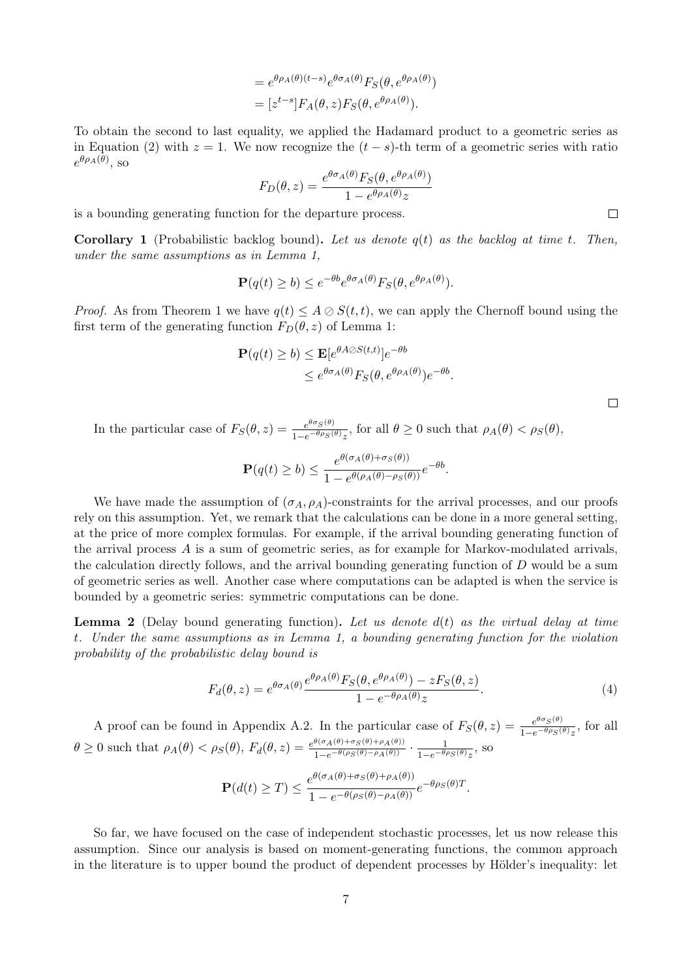$$
= e^{\theta \rho_A(\theta)(t-s)} e^{\theta \sigma_A(\theta)} F_S(\theta, e^{\theta \rho_A(\theta)})
$$

$$
= [z^{t-s}] F_A(\theta, z) F_S(\theta, e^{\theta \rho_A(\theta)}).
$$

To obtain the second to last equality, we applied the Hadamard product to a geometric series as in Equation (2) with  $z = 1$ . We now recognize the  $(t - s)$ -th term of a geometric series with ratio  $e^{\theta \rho_A(\theta)}$ , so

$$
F_D(\theta, z) = \frac{e^{\theta \sigma_A(\theta)} F_S(\theta, e^{\theta \rho_A(\theta)})}{1 - e^{\theta \rho_A(\theta)} z}
$$

is a bounding generating function for the departure process.

**Corollary 1** (Probabilistic backlog bound). Let us denote  $q(t)$  as the backlog at time t. Then, under the same assumptions as in Lemma 1,

$$
\mathbf{P}(q(t) \ge b) \le e^{-\theta b} e^{\theta \sigma_A(\theta)} F_S(\theta, e^{\theta \rho_A(\theta)}).
$$

*Proof.* As from Theorem 1 we have  $q(t) \leq A \otimes S(t, t)$ , we can apply the Chernoff bound using the first term of the generating function  $F_D(\theta, z)$  of Lemma 1:

$$
\mathbf{P}(q(t) \ge b) \le \mathbf{E}[e^{\theta A \oslash S(t,t)}]e^{-\theta b}
$$
  
 
$$
\le e^{\theta \sigma_A(\theta)} F_S(\theta, e^{\theta \rho_A(\theta)})e^{-\theta b}.
$$

 $\Box$ 

 $\Box$ 

In the particular case of  $F_S(\theta, z) = \frac{e^{\theta \sigma_S(\theta)}}{1 - e^{-\theta \rho_S(\theta)}}$  $\frac{e^{\theta\theta}S(\theta)}{1-e^{-\theta\rho}S(\theta)z}$ , for all  $\theta \geq 0$  such that  $\rho_A(\theta) < \rho_S(\theta)$ ,

$$
\mathbf{P}(q(t) \ge b) \le \frac{e^{\theta(\sigma_A(\theta) + \sigma_S(\theta))}}{1 - e^{\theta(\rho_A(\theta) - \rho_S(\theta))}} e^{-\theta b}.
$$

We have made the assumption of  $(\sigma_A, \rho_A)$ -constraints for the arrival processes, and our proofs rely on this assumption. Yet, we remark that the calculations can be done in a more general setting, at the price of more complex formulas. For example, if the arrival bounding generating function of the arrival process A is a sum of geometric series, as for example for Markov-modulated arrivals, the calculation directly follows, and the arrival bounding generating function of  $D$  would be a sum of geometric series as well. Another case where computations can be adapted is when the service is bounded by a geometric series: symmetric computations can be done.

**Lemma 2** (Delay bound generating function). Let us denote  $d(t)$  as the virtual delay at time t. Under the same assumptions as in Lemma 1, a bounding generating function for the violation probability of the probabilistic delay bound is

$$
F_d(\theta, z) = e^{\theta \sigma_A(\theta)} \frac{e^{\theta \rho_A(\theta)} F_S(\theta, e^{\theta \rho_A(\theta)}) - z F_S(\theta, z)}{1 - e^{-\theta \rho_A(\theta)} z}.
$$
(4)

A proof can be found in Appendix A.2. In the particular case of  $F_S(\theta, z) = \frac{e^{\theta \sigma_S(\theta)}}{1 - e^{-\theta \rho_S(\theta)}}$  $\frac{e^{\sigma\sigma}S^{(\sigma)}}{1-e^{-\theta\rho}S^{(\theta)}z}$ , for all  $\theta \geq 0$  such that  $\rho_A(\theta) < \rho_S(\theta)$ ,  $F_d(\theta, z) = \frac{e^{\theta(\sigma_A(\theta) + \sigma_S(\theta) + \rho_A(\theta))}}{1 - e^{-\theta(\rho_S(\theta) - \rho_A(\theta))}}$  $\frac{\theta(\sigma_A(\theta)+\sigma_S(\theta)+\rho_A(\theta))}{1-e^{-\theta(\rho_S(\theta)-\rho_A(\theta))}}\cdot\frac{1}{1-e^{-\theta(\rho_S(\theta))}}$  $\frac{1}{1-e^{-\theta\rho_S(\theta)}z}$ , so

$$
\mathbf{P}(d(t) \geq T) \leq \frac{e^{\theta(\sigma_A(\theta) + \sigma_S(\theta) + \rho_A(\theta))}}{1 - e^{-\theta(\rho_S(\theta) - \rho_A(\theta))}} e^{-\theta \rho_S(\theta) T}.
$$

So far, we have focused on the case of independent stochastic processes, let us now release this assumption. Since our analysis is based on moment-generating functions, the common approach in the literature is to upper bound the product of dependent processes by Hölder's inequality: let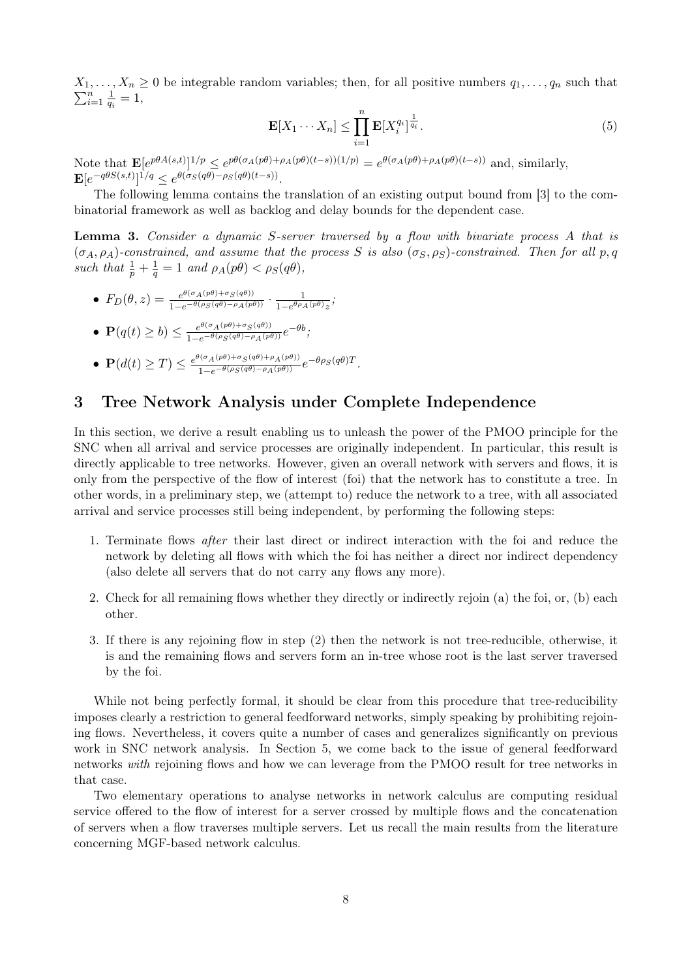$\sum_{i=1}^{n}$  $X_1, \ldots, X_n \geq 0$  be integrable random variables; then, for all positive numbers  $q_1, \ldots, q_n$  such that  $\frac{n}{i=1}$   $\frac{1}{q_i}$  $\frac{1}{q_i}=1,$ 

$$
\mathbf{E}[X_1 \cdots X_n] \le \prod_{i=1}^n \mathbf{E}[X_i^{q_i}]^{\frac{1}{q_i}}.
$$
\n
$$
(5)
$$

Note that  $\mathbf{E}[e^{p\theta A(s,t)}]^{1/p} \leq e^{p\theta(\sigma_A(p\theta)+\rho_A(p\theta)(t-s))(1/p)} = e^{\theta(\sigma_A(p\theta)+\rho_A(p\theta)(t-s))}$  and, similarly,  $\mathbf{E}[e^{-q\theta S(s,t)}]^{1/q} \leq e^{\theta(\sigma_S(q\theta) - \rho_S(q\theta)(t-s))}.$ 

The following lemma contains the translation of an existing output bound from [3] to the combinatorial framework as well as backlog and delay bounds for the dependent case.

Lemma 3. Consider a dynamic S-server traversed by a flow with bivariate process A that is  $(\sigma_A, \rho_A)$ -constrained, and assume that the process S is also  $(\sigma_S, \rho_S)$ -constrained. Then for all p, q such that  $\frac{1}{p} + \frac{1}{q}$  $\frac{1}{q} = 1$  and  $\rho_A(p\theta) < \rho_S(q\theta)$ ,

• 
$$
F_D(\theta, z) = \frac{e^{\theta(\sigma_A(p\theta) + \sigma_S(q\theta))}}{1 - e^{-\theta(\rho_S(q\theta) - \rho_A(p\theta))}} \cdot \frac{1}{1 - e^{\theta \rho_A(p\theta)}z};
$$

• 
$$
\mathbf{P}(q(t) \ge b) \le \frac{e^{\theta(\sigma_A(p\theta) + \sigma_S(q\theta))}}{1 - e^{-\theta(\rho_S(q\theta) - \rho_A(p\theta))}} e^{-\theta b};
$$

 $\bullet$   $\mathbf{P}(d(t) \geq T) \leq \frac{e^{\theta(\sigma_A(p\theta)+\sigma_S(q\theta)+\rho_A(p\theta))}}{1-e^{-\theta(\rho_S(q\theta)-\rho_A(p\theta))}}$  $\frac{\partial(\sigma_A(p\theta)+\sigma_S(q\theta)+\rho_A(p\theta))}{1-e^{-\theta(\rho_S(q\theta)-\rho_A(p\theta))}}e^{-\theta\rho_S(q\theta)T}.$ 

## 3 Tree Network Analysis under Complete Independence

In this section, we derive a result enabling us to unleash the power of the PMOO principle for the SNC when all arrival and service processes are originally independent. In particular, this result is directly applicable to tree networks. However, given an overall network with servers and flows, it is only from the perspective of the flow of interest (foi) that the network has to constitute a tree. In other words, in a preliminary step, we (attempt to) reduce the network to a tree, with all associated arrival and service processes still being independent, by performing the following steps:

- 1. Terminate flows after their last direct or indirect interaction with the foi and reduce the network by deleting all flows with which the foi has neither a direct nor indirect dependency (also delete all servers that do not carry any flows any more).
- 2. Check for all remaining flows whether they directly or indirectly rejoin (a) the foi, or, (b) each other.
- 3. If there is any rejoining flow in step (2) then the network is not tree-reducible, otherwise, it is and the remaining flows and servers form an in-tree whose root is the last server traversed by the foi.

While not being perfectly formal, it should be clear from this procedure that tree-reducibility imposes clearly a restriction to general feedforward networks, simply speaking by prohibiting rejoining flows. Nevertheless, it covers quite a number of cases and generalizes significantly on previous work in SNC network analysis. In Section 5, we come back to the issue of general feedforward networks with rejoining flows and how we can leverage from the PMOO result for tree networks in that case.

Two elementary operations to analyse networks in network calculus are computing residual service offered to the flow of interest for a server crossed by multiple flows and the concatenation of servers when a flow traverses multiple servers. Let us recall the main results from the literature concerning MGF-based network calculus.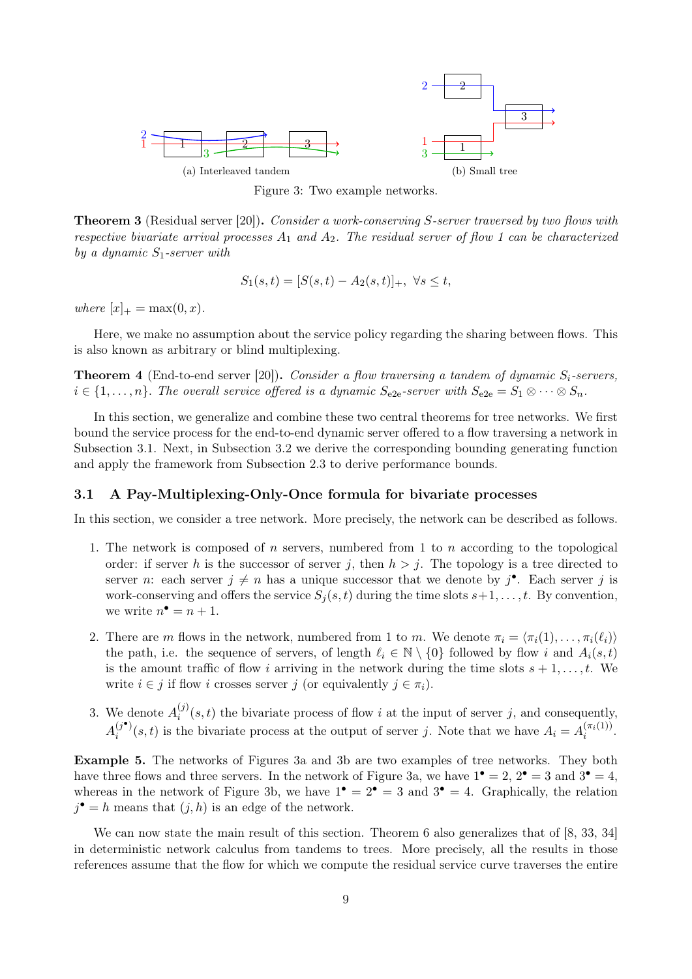

Figure 3: Two example networks.

Theorem 3 (Residual server [20]). Consider a work-conserving S-server traversed by two flows with respective bivariate arrival processes  $A_1$  and  $A_2$ . The residual server of flow 1 can be characterized by a dynamic  $S_1$ -server with

$$
S_1(s,t) = [S(s,t) - A_2(s,t)]_+, \ \forall s \le t,
$$

where  $[x]_{+} = \max(0, x)$ .

Here, we make no assumption about the service policy regarding the sharing between flows. This is also known as arbitrary or blind multiplexing.

**Theorem 4** (End-to-end server [20]). Consider a flow traversing a tandem of dynamic  $S_i$ -servers,  $i \in \{1,\ldots,n\}$ . The overall service offered is a dynamic  $S_{e2e}$ -server with  $S_{e2e} = S_1 \otimes \cdots \otimes S_n$ .

In this section, we generalize and combine these two central theorems for tree networks. We first bound the service process for the end-to-end dynamic server offered to a flow traversing a network in Subsection 3.1. Next, in Subsection 3.2 we derive the corresponding bounding generating function and apply the framework from Subsection 2.3 to derive performance bounds.

#### 3.1 A Pay-Multiplexing-Only-Once formula for bivariate processes

In this section, we consider a tree network. More precisely, the network can be described as follows.

- 1. The network is composed of n servers, numbered from 1 to n according to the topological order: if server h is the successor of server j, then  $h > j$ . The topology is a tree directed to server *n*: each server  $j \neq n$  has a unique successor that we denote by  $j^{\bullet}$ . Each server j is work-conserving and offers the service  $S_i(s, t)$  during the time slots  $s+1, \ldots, t$ . By convention, we write  $n^{\bullet} = n + 1$ .
- 2. There are m flows in the network, numbered from 1 to m. We denote  $\pi_i = \langle \pi_i(1), \ldots, \pi_i(\ell_i) \rangle$ the path, i.e. the sequence of servers, of length  $\ell_i \in \mathbb{N} \setminus \{0\}$  followed by flow i and  $A_i(s,t)$ is the amount traffic of flow i arriving in the network during the time slots  $s + 1, \ldots, t$ . We write  $i \in j$  if flow i crosses server j (or equivalently  $j \in \pi_i$ ).
- 3. We denote  $A_i^{(j)}$  $i^{(j)}(s,t)$  the bivariate process of flow i at the input of server j, and consequently,  $A_i^{(j\bullet)}$  $(i^{\bullet})$  (s, t) is the bivariate process at the output of server j. Note that we have  $A_i = A_i^{(\pi_i(1))}$  $\frac{(\pi_i(1))}{i}$ .

Example 5. The networks of Figures 3a and 3b are two examples of tree networks. They both have three flows and three servers. In the network of Figure 3a, we have  $1^{\bullet} = 2$ ,  $2^{\bullet} = 3$  and  $3^{\bullet} = 4$ , whereas in the network of Figure 3b, we have  $1^{\bullet} = 2^{\bullet} = 3$  and  $3^{\bullet} = 4$ . Graphically, the relation  $j^{\bullet} = h$  means that  $(j, h)$  is an edge of the network.

We can now state the main result of this section. Theorem 6 also generalizes that of [8, 33, 34] in deterministic network calculus from tandems to trees. More precisely, all the results in those references assume that the flow for which we compute the residual service curve traverses the entire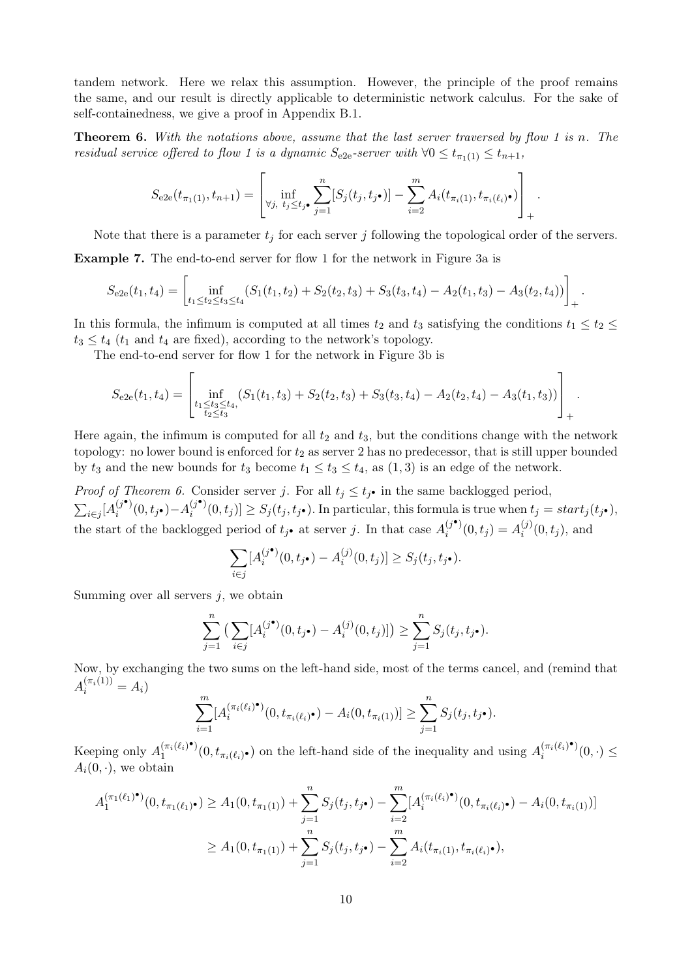tandem network. Here we relax this assumption. However, the principle of the proof remains the same, and our result is directly applicable to deterministic network calculus. For the sake of self-containedness, we give a proof in Appendix B.1.

**Theorem 6.** With the notations above, assume that the last server traversed by flow 1 is n. The residual service offered to flow 1 is a dynamic  $S_{e2e}$ -server with  $\forall 0 \leq t_{\pi_1(1)} \leq t_{n+1}$ ,

$$
S_{e2e}(t_{\pi_1(1)}, t_{n+1}) = \left[\inf_{\forall j, t_j \le t_j \bullet} \sum_{j=1}^n [S_j(t_j, t_{j\bullet})] - \sum_{i=2}^m A_i(t_{\pi_i(1)}, t_{\pi_i(\ell_i)\bullet})\right]_+.
$$

Note that there is a parameter  $t_i$  for each server j following the topological order of the servers.

Example 7. The end-to-end server for flow 1 for the network in Figure 3a is

$$
S_{e2e}(t_1, t_4) = \left[\inf_{t_1 \le t_2 \le t_3 \le t_4} (S_1(t_1, t_2) + S_2(t_2, t_3) + S_3(t_3, t_4) - A_2(t_1, t_3) - A_3(t_2, t_4))\right]_+.
$$

In this formula, the infimum is computed at all times  $t_2$  and  $t_3$  satisfying the conditions  $t_1 \le t_2 \le$  $t_3 \leq t_4$  ( $t_1$  and  $t_4$  are fixed), according to the network's topology.

The end-to-end server for flow 1 for the network in Figure 3b is

$$
S_{e2e}(t_1, t_4) = \left[\inf_{\substack{t_1 \leq t_3 \leq t_4,\\t_2 \leq t_3}} (S_1(t_1, t_3) + S_2(t_2, t_3) + S_3(t_3, t_4) - A_2(t_2, t_4) - A_3(t_1, t_3))\right]_+.
$$

Here again, the infimum is computed for all  $t_2$  and  $t_3$ , but the conditions change with the network topology: no lower bound is enforced for  $t_2$  as server 2 has no predecessor, that is still upper bounded by  $t_3$  and the new bounds for  $t_3$  become  $t_1 \le t_3 \le t_4$ , as  $(1,3)$  is an edge of the network.

*Proof of Theorem 6.* Consider server j. For all  $t_j \n\t\leq t_j$  in the same backlogged period,  $\sum_{i\in j} [A_i^{(j^\bullet)}]$  $i^{(j^{\bullet})}(0,t_{j^{\bullet}})-A_i^{(j^{\bullet})}$  $S_j^{(j^*)}(0,t_j)] \geq S_j(t_j,t_{j^*})$ . In particular, this formula is true when  $t_j = start_j(t_{j^*})$ , the start of the backlogged period of  $t_j$  at server j. In that case  $A_i^{(j^{\bullet})}$  $i_j^{(j^{\bullet})}(0,t_j) = A_i^{(j)}$  $i^{(j)}(0,t_j)$ , and

$$
\sum_{i \in j} [A_i^{(j\bullet)}(0, t_{j\bullet}) - A_i^{(j)}(0, t_j)] \ge S_j(t_j, t_{j\bullet}).
$$

Summing over all servers  $j$ , we obtain

$$
\sum_{j=1}^n \left( \sum_{i \in j} [A_i^{(j\bullet)}(0, t_{j\bullet}) - A_i^{(j)}(0, t_j)] \right) \ge \sum_{j=1}^n S_j(t_j, t_{j\bullet}).
$$

Now, by exchanging the two sums on the left-hand side, most of the terms cancel, and (remind that  $A_i^{(\pi_i(1))} = A_i$ 

$$
\sum_{i=1}^{m} [A_i^{(\pi_i(\ell_i)^{\bullet})}(0, t_{\pi_i(\ell_i)^{\bullet}}) - A_i(0, t_{\pi_i(1)})] \geq \sum_{j=1}^{n} S_j(t_j, t_j^{\bullet}).
$$

Keeping only  $A_1^{(\pi_i(\ell_i)^{\bullet})}$  $\binom{(\pi_i(\ell_i)^{\bullet})}{1}(0, t_{\pi_i(\ell_i)^{\bullet}})$  on the left-hand side of the inequality and using  $A_i^{(\pi_i(\ell_i)^{\bullet})}$  $\sum_{i}^{(\pi_i(\ell_i)^*)}(0,\cdot)\leq$  $A_i(0, \cdot)$ , we obtain

$$
A_1^{(\pi_1(\ell_1)^{\bullet})}(0, t_{\pi_1(\ell_1)^{\bullet}}) \ge A_1(0, t_{\pi_1(1)}) + \sum_{j=1}^n S_j(t_j, t_j) - \sum_{i=2}^m [A_i^{(\pi_i(\ell_i)^{\bullet})}(0, t_{\pi_i(\ell_i)^{\bullet}}) - A_i(0, t_{\pi_i(1)})]
$$
  

$$
\ge A_1(0, t_{\pi_1(1)}) + \sum_{j=1}^n S_j(t_j, t_j) - \sum_{i=2}^m A_i(t_{\pi_i(1)}, t_{\pi_i(\ell_i)^{\bullet}}),
$$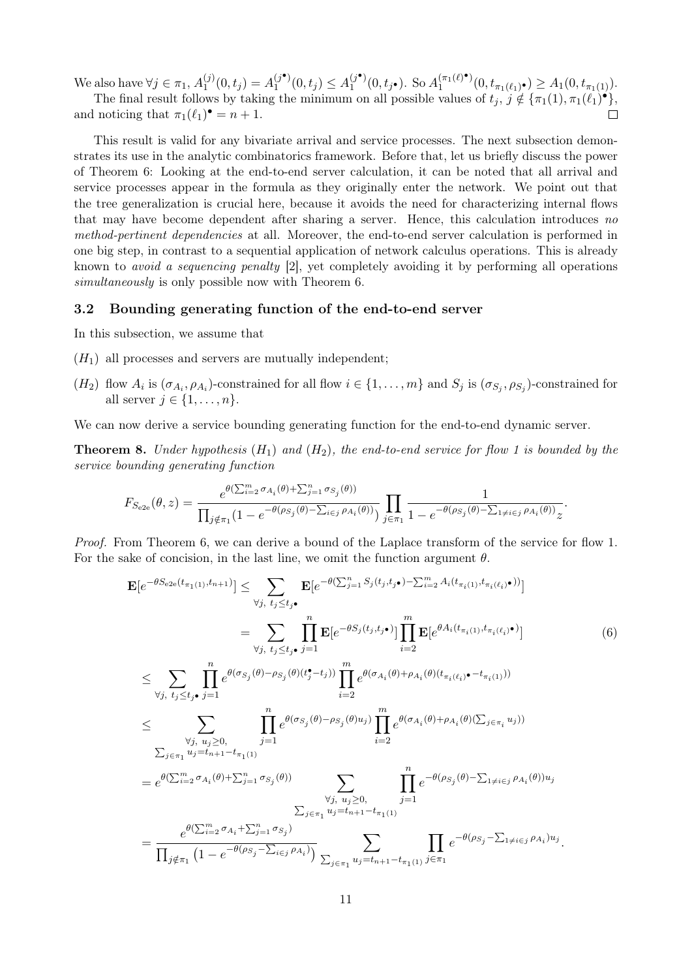We also have  $\forall j \in \pi_1, A_1^{(j)}$  $A_1^{(j)}(0,t_j) = A_1^{(j\bullet)}$  $a_1^{(j\bullet)}(0, t_j) \leq A_1^{(j\bullet)}$  $1_1^{(j\bullet)}(0, t_{j\bullet}).$  So  $A_1^{(\pi_1(\ell)\bullet)}$  $t_{\pi_1(\ell)}(0,t_{\pi_1(\ell_1)},\epsilon) \geq A_1(0,t_{\pi_1(1)}).$ The final result follows by taking the minimum on all possible values of  $t_j$ ,  $j \notin {\pi_1(1), \pi_1(\ell_1)^{\bullet}}$ ,

and noticing that  $\pi_1(\ell_1)^\bullet = n+1$ .  $\Box$ 

This result is valid for any bivariate arrival and service processes. The next subsection demonstrates its use in the analytic combinatorics framework. Before that, let us briefly discuss the power of Theorem 6: Looking at the end-to-end server calculation, it can be noted that all arrival and service processes appear in the formula as they originally enter the network. We point out that the tree generalization is crucial here, because it avoids the need for characterizing internal flows that may have become dependent after sharing a server. Hence, this calculation introduces no method-pertinent dependencies at all. Moreover, the end-to-end server calculation is performed in one big step, in contrast to a sequential application of network calculus operations. This is already known to avoid a sequencing penalty [2], yet completely avoiding it by performing all operations simultaneously is only possible now with Theorem 6.

#### 3.2 Bounding generating function of the end-to-end server

In this subsection, we assume that

- $(H_1)$  all processes and servers are mutually independent;
- $(H_2)$  flow  $A_i$  is  $(\sigma_{A_i}, \rho_{A_i})$ -constrained for all flow  $i \in \{1, \ldots, m\}$  and  $S_j$  is  $(\sigma_{S_j}, \rho_{S_j})$ -constrained for all server  $j \in \{1, \ldots, n\}$ .

We can now derive a service bounding generating function for the end-to-end dynamic server.

**Theorem 8.** Under hypothesis  $(H_1)$  and  $(H_2)$ , the end-to-end service for flow 1 is bounded by the service bounding generating function

$$
F_{S_{e2e}}(\theta, z) = \frac{e^{\theta(\sum_{i=2}^{m} \sigma_{A_i}(\theta) + \sum_{j=1}^{n} \sigma_{S_j}(\theta))}}{\prod_{j \notin \pi_1} (1 - e^{-\theta(\rho_{S_j}(\theta) - \sum_{i \in j} \rho_{A_i}(\theta))})} \prod_{j \in \pi_1} \frac{1}{1 - e^{-\theta(\rho_{S_j}(\theta) - \sum_{1 \neq i \in j} \rho_{A_i}(\theta))} z}.
$$

Proof. From Theorem 6, we can derive a bound of the Laplace transform of the service for flow 1. For the sake of concision, in the last line, we omit the function argument  $\theta$ .

$$
\mathbf{E}[e^{-\theta S_{e2e}(t_{\pi_1(1)},t_{n+1})}] \leq \sum_{\forall j, t_j \leq t_j, \mathbf{t}_j \in \mathcal{F}_j, \mathbf{t}_j \in \mathcal{F}_j, \mathbf{t}_j \in \mathcal{F}_j, \mathbf{t}_j \in \mathcal{F}_j, \mathbf{t}_j \in \mathcal{F}_j, \mathbf{t}_j \in \mathcal{F}_j, \mathbf{t}_j \in \mathcal{F}_j, \mathbf{t}_j \in \mathcal{F}_j, \mathbf{t}_j \in \mathcal{F}_j, \mathbf{t}_j \in \mathcal{F}_j, \mathbf{t}_j \in \mathcal{F}_j, \mathbf{t}_j \in \mathcal{F}_j, \mathbf{t}_j \in \mathcal{F}_j, \mathbf{t}_j \in \mathcal{F}_j, \mathbf{t}_j \in \mathcal{F}_j, \mathbf{t}_j \in \mathcal{F}_j, \mathbf{t}_j \in \mathcal{F}_j, \mathbf{t}_j \in \mathcal{F}_j, \mathbf{t}_j \in \mathcal{F}_j, \mathbf{t}_j \in \mathcal{F}_j, \mathbf{t}_j \in \mathcal{F}_j, \mathbf{t}_j \in \mathcal{F}_j, \mathbf{t}_j \in \mathcal{F}_j, \mathbf{t}_j \in \mathcal{F}_j, \mathbf{t}_j \in \mathcal{F}_j, \mathbf{t}_j \in \mathcal{F}_j, \mathbf{t}_j \in \mathcal{F}_j, \mathbf{t}_j \in \mathcal{F}_j, \mathbf{t}_j \in \mathcal{F}_j, \mathbf{t}_j \in \mathcal{F}_j, \mathbf{t}_j \in \mathcal{F}_j, \mathbf{t}_j \in \mathcal{F}_j, \mathbf{t}_j \in \mathcal{F}_j, \mathbf{t}_j \in \mathcal{F}_j, \mathbf{t}_j \in \mathcal{F}_j, \mathbf{t}_j \in \mathcal{F}_j, \mathbf{t}_j \in \mathcal{F}_j, \mathbf{t}_j \in \mathcal{F}_j, \mathbf{t}_j \in \mathcal{F}_j, \mathbf{t}_j \in \mathcal{F}_j, \mathbf{t}_j \in \mathcal{F}_j, \mathbf{t}_j \in \mathcal{
$$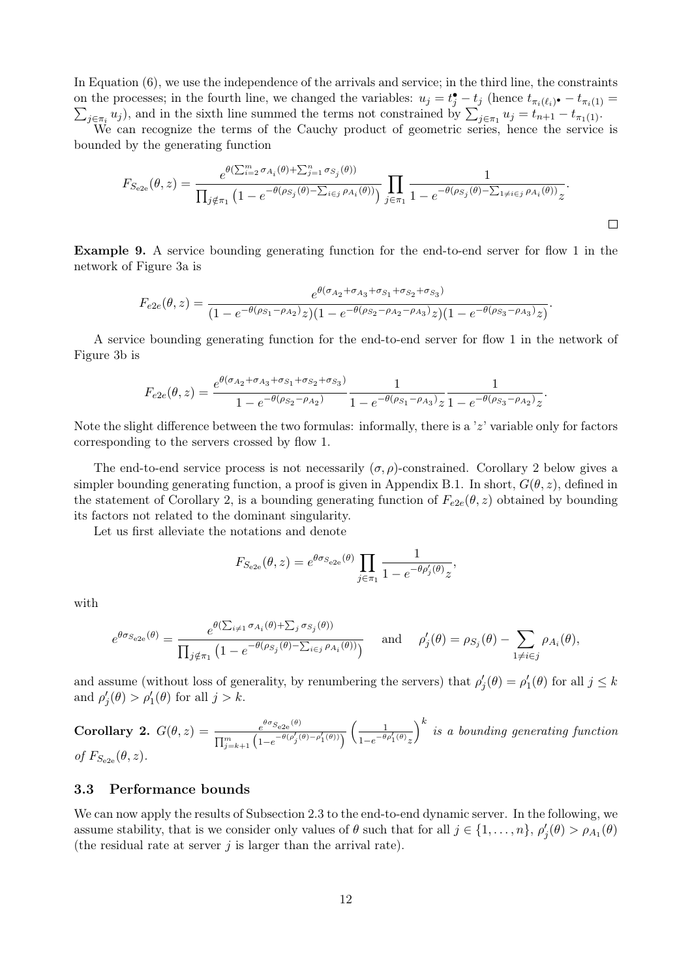In Equation (6), we use the independence of the arrivals and service; in the third line, the constraints on the processes; in the fourth line, we changed the variables:  $u_j = t_j^{\bullet} - t_j$  (hence  $t_{\pi_i(\ell_i)^{\bullet}} - t_{\pi_i(1)} = \sum_{i \in \pi_i} u_i$ ), and in the sixth line summed the terms not constrained by  $\sum_{i \in \pi_i} u_i = t_{n+1} - t_{\pi_i(1)}$ .  $j \in \pi_i u_j$ , and in the sixth line summed the terms not constrained by  $\sum_{j \in \pi_1} u_j = t_{n+1} - t_{\pi_1(1)}$ .

We can recognize the terms of the Cauchy product of geometric series, hence the service is bounded by the generating function

$$
F_{S_{e2e}}(\theta, z) = \frac{e^{\theta(\sum_{i=2}^{m} \sigma_{A_i}(\theta) + \sum_{j=1}^{n} \sigma_{S_j}(\theta))}}{\prod_{j \notin \pi_1} (1 - e^{-\theta(\rho_{S_j}(\theta) - \sum_{i \in j} \rho_{A_i}(\theta))})} \prod_{j \in \pi_1} \frac{1}{1 - e^{-\theta(\rho_{S_j}(\theta) - \sum_{1 \neq i \in j} \rho_{A_i}(\theta))} z}.
$$

Example 9. A service bounding generating function for the end-to-end server for flow 1 in the network of Figure 3a is

$$
F_{e2e}(\theta, z) = \frac{e^{\theta(\sigma_{A_2} + \sigma_{A_3} + \sigma_{S_1} + \sigma_{S_2} + \sigma_{S_3})}}{(1 - e^{-\theta(\rho_{S_1} - \rho_{A_2})}z)(1 - e^{-\theta(\rho_{S_2} - \rho_{A_2} - \rho_{A_3})}z)(1 - e^{-\theta(\rho_{S_3} - \rho_{A_3})}z)}.
$$

A service bounding generating function for the end-to-end server for flow 1 in the network of Figure 3b is

$$
F_{e2e}(\theta, z) = \frac{e^{\theta(\sigma_{A_2} + \sigma_{A_3} + \sigma_{S_1} + \sigma_{S_2} + \sigma_{S_3})}}{1 - e^{-\theta(\rho_{S_2} - \rho_{A_2})}} \frac{1}{1 - e^{-\theta(\rho_{S_1} - \rho_{A_3})} z} \frac{1}{1 - e^{-\theta(\rho_{S_3} - \rho_{A_2})} z}
$$

.

Note the slight difference between the two formulas: informally, there is a 'z' variable only for factors corresponding to the servers crossed by flow 1.

The end-to-end service process is not necessarily  $(\sigma, \rho)$ -constrained. Corollary 2 below gives a simpler bounding generating function, a proof is given in Appendix B.1. In short,  $G(\theta, z)$ , defined in the statement of Corollary 2, is a bounding generating function of  $F_{e2e}(\theta, z)$  obtained by bounding its factors not related to the dominant singularity.

Let us first alleviate the notations and denote

$$
F_{S_{e2e}}(\theta, z) = e^{\theta \sigma_{S_{e2e}}(\theta)} \prod_{j \in \pi_1} \frac{1}{1 - e^{-\theta \rho'_j(\theta)} z},
$$

with

$$
e^{\theta \sigma_{S_{e2e}}(\theta)} = \frac{e^{\theta(\sum_{i \neq 1} \sigma_{A_i}(\theta) + \sum_j \sigma_{S_j}(\theta))}}{\prod_{j \notin \pi_1} \left(1 - e^{-\theta(\rho_{S_j}(\theta) - \sum_{i \in j} \rho_{A_i}(\theta))}\right)} \quad \text{and} \quad \rho_j'(\theta) = \rho_{S_j}(\theta) - \sum_{1 \neq i \in j} \rho_{A_i}(\theta),
$$

and assume (without loss of generality, by renumbering the servers) that  $\rho'_j(\theta) = \rho'_1(\theta)$  for all  $j \leq k$ and  $\rho'_{j}(\theta) > \rho'_{1}(\theta)$  for all  $j > k$ .

**Corollary 2.**  $G(\theta, z) = \frac{e^{\theta \sigma_{S_{e2e}}(\theta)}}{1 - e^{\theta \sigma_{S_{e2e}}(\theta)}}$  $\overline{\prod_{j=k+1}^{m} (1-e^{-\theta(\rho'_{j}(\theta)-\rho'_{1}(\theta))})}$  1  $\frac{1-e^{-\theta\rho'_1(\theta)}z}{\sqrt{1-\theta}}$  $\big)_{k}^{k}$  is a bounding generating function of  $F_{S_{e2e}}(\theta, z)$ .

#### 3.3 Performance bounds

We can now apply the results of Subsection 2.3 to the end-to-end dynamic server. In the following, we assume stability, that is we consider only values of  $\theta$  such that for all  $j \in \{1, \ldots, n\}$ ,  $\rho'_j(\theta) > \rho_{A_1}(\theta)$ (the residual rate at server  $j$  is larger than the arrival rate).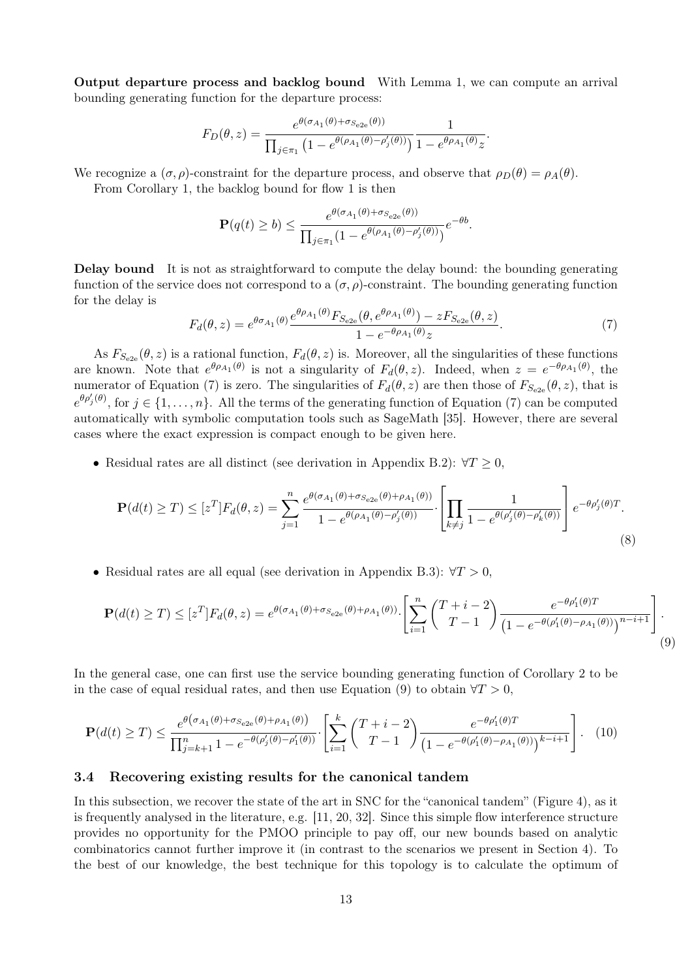Output departure process and backlog bound With Lemma 1, we can compute an arrival bounding generating function for the departure process:

$$
F_D(\theta, z) = \frac{e^{\theta(\sigma_{A_1}(\theta) + \sigma_{S_{e2e}}(\theta))}}{\prod_{j \in \pi_1} \left(1 - e^{\theta(\rho_{A_1}(\theta) - \rho'_j(\theta))}\right)} \frac{1}{1 - e^{\theta \rho_{A_1}(\theta)}z}.
$$

We recognize a  $(\sigma, \rho)$ -constraint for the departure process, and observe that  $\rho_D(\theta) = \rho_A(\theta)$ .

From Corollary 1, the backlog bound for flow 1 is then

$$
\mathbf{P}(q(t) \ge b) \le \frac{e^{\theta(\sigma_{A_1}(\theta) + \sigma_{S_{e2e}}(\theta))}}{\prod_{j \in \pi_1} (1 - e^{\theta(\rho_{A_1}(\theta) - \rho'_j(\theta))})} e^{-\theta b}.
$$

Delay bound It is not as straightforward to compute the delay bound: the bounding generating function of the service does not correspond to a  $(\sigma, \rho)$ -constraint. The bounding generating function for the delay is

$$
F_d(\theta, z) = e^{\theta \sigma_{A_1}(\theta)} \frac{e^{\theta \rho_{A_1}(\theta)} F_{S_{e2e}}(\theta, e^{\theta \rho_{A_1}(\theta)}) - z F_{S_{e2e}}(\theta, z)}{1 - e^{-\theta \rho_{A_1}(\theta)} z}.
$$
(7)

As  $F_{S_{\alpha2e}}(\theta, z)$  is a rational function,  $F_d(\theta, z)$  is. Moreover, all the singularities of these functions are known. Note that  $e^{\theta \rho_{A_1}(\theta)}$  is not a singularity of  $F_d(\theta, z)$ . Indeed, when  $z = e^{-\theta \rho_{A_1}(\theta)}$ , the numerator of Equation (7) is zero. The singularities of  $F_d(\theta, z)$  are then those of  $F_{S_{e2e}}(\theta, z)$ , that is  $e^{\theta \rho'_j(\theta)}$ , for  $j \in \{1,\ldots,n\}$ . All the terms of the generating function of Equation (7) can be computed automatically with symbolic computation tools such as SageMath [35]. However, there are several cases where the exact expression is compact enough to be given here.

• Residual rates are all distinct (see derivation in Appendix B.2):  $\forall T \geq 0$ ,

$$
\mathbf{P}(d(t) \ge T) \le [z^T] F_d(\theta, z) = \sum_{j=1}^n \frac{e^{\theta(\sigma_{A_1}(\theta) + \sigma_{S_{e2e}}(\theta) + \rho_{A_1}(\theta))}}{1 - e^{\theta(\rho_{A_1}(\theta) - \rho'_j(\theta))}} \cdot \left[ \prod_{k \ne j} \frac{1}{1 - e^{\theta(\rho'_j(\theta) - \rho'_k(\theta))}} \right] e^{-\theta \rho'_j(\theta) T}.
$$
\n(8)

• Residual rates are all equal (see derivation in Appendix B.3):  $\forall T > 0$ ,

$$
\mathbf{P}(d(t) \ge T) \le [z^T] F_d(\theta, z) = e^{\theta(\sigma_{A_1}(\theta) + \sigma_{S_{e2e}}(\theta) + \rho_{A_1}(\theta))} \cdot \left[ \sum_{i=1}^n \binom{T+i-2}{T-1} \frac{e^{-\theta \rho'_1(\theta)T}}{\left(1 - e^{-\theta(\rho'_1(\theta) - \rho_{A_1}(\theta))}\right)^{n-i+1}} \right].
$$
\n(9)

In the general case, one can first use the service bounding generating function of Corollary 2 to be in the case of equal residual rates, and then use Equation (9) to obtain  $\forall T > 0$ ,

$$
\mathbf{P}(d(t) \geq T) \leq \frac{e^{\theta(\sigma_{A_1}(\theta) + \sigma_{S_{e2e}}(\theta) + \rho_{A_1}(\theta))}}{\prod_{j=k+1}^{n} 1 - e^{-\theta(\rho_j'(\theta) - \rho_1'(\theta))}} \cdot \left[ \sum_{i=1}^{k} \binom{T+i-2}{T-1} \frac{e^{-\theta \rho_1'(\theta)T}}{\left(1 - e^{-\theta(\rho_1'(\theta) - \rho_{A_1}(\theta))}\right)^{k-i+1}} \right]. \tag{10}
$$

#### 3.4 Recovering existing results for the canonical tandem

In this subsection, we recover the state of the art in SNC for the "canonical tandem" (Figure 4), as it is frequently analysed in the literature, e.g. [11, 20, 32]. Since this simple flow interference structure provides no opportunity for the PMOO principle to pay off, our new bounds based on analytic combinatorics cannot further improve it (in contrast to the scenarios we present in Section 4). To the best of our knowledge, the best technique for this topology is to calculate the optimum of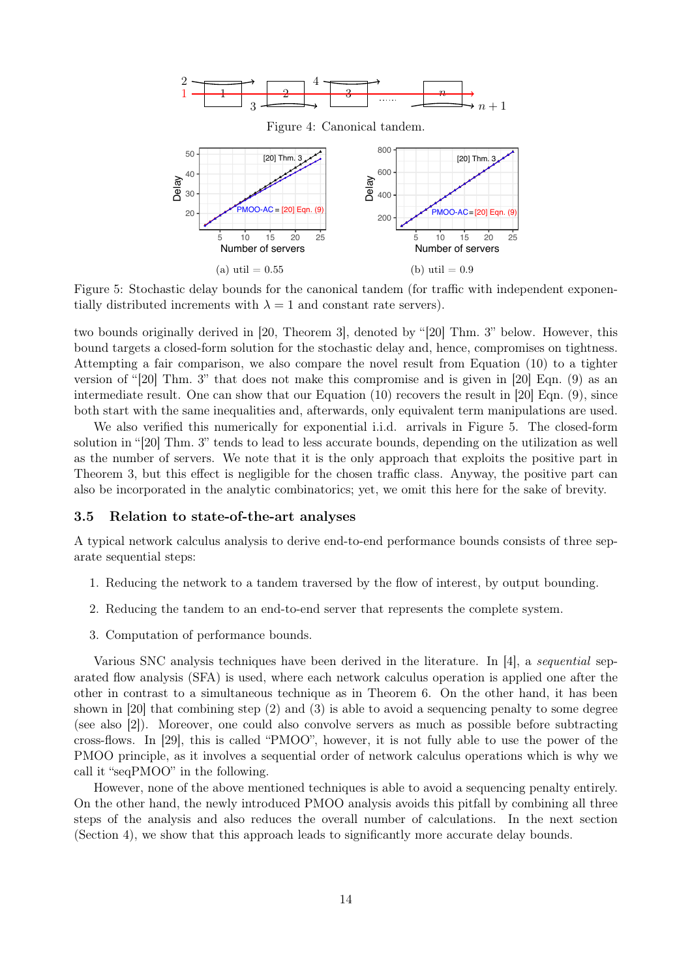

Figure 5: Stochastic delay bounds for the canonical tandem (for traffic with independent exponentially distributed increments with  $\lambda = 1$  and constant rate servers).

two bounds originally derived in [20, Theorem 3], denoted by "[20] Thm. 3" below. However, this bound targets a closed-form solution for the stochastic delay and, hence, compromises on tightness. Attempting a fair comparison, we also compare the novel result from Equation (10) to a tighter version of "[20] Thm. 3" that does not make this compromise and is given in [20] Eqn. (9) as an intermediate result. One can show that our Equation (10) recovers the result in [20] Eqn. (9), since both start with the same inequalities and, afterwards, only equivalent term manipulations are used.

We also verified this numerically for exponential i.i.d. arrivals in Figure 5. The closed-form solution in "[20] Thm. 3" tends to lead to less accurate bounds, depending on the utilization as well as the number of servers. We note that it is the only approach that exploits the positive part in Theorem 3, but this effect is negligible for the chosen traffic class. Anyway, the positive part can also be incorporated in the analytic combinatorics; yet, we omit this here for the sake of brevity.

#### 3.5 Relation to state-of-the-art analyses

A typical network calculus analysis to derive end-to-end performance bounds consists of three separate sequential steps:

- 1. Reducing the network to a tandem traversed by the flow of interest, by output bounding.
- 2. Reducing the tandem to an end-to-end server that represents the complete system.
- 3. Computation of performance bounds.

Various SNC analysis techniques have been derived in the literature. In [4], a sequential separated flow analysis (SFA) is used, where each network calculus operation is applied one after the other in contrast to a simultaneous technique as in Theorem 6. On the other hand, it has been shown in [20] that combining step (2) and (3) is able to avoid a sequencing penalty to some degree (see also [2]). Moreover, one could also convolve servers as much as possible before subtracting cross-flows. In [29], this is called "PMOO", however, it is not fully able to use the power of the PMOO principle, as it involves a sequential order of network calculus operations which is why we call it "seqPMOO" in the following.

However, none of the above mentioned techniques is able to avoid a sequencing penalty entirely. On the other hand, the newly introduced PMOO analysis avoids this pitfall by combining all three steps of the analysis and also reduces the overall number of calculations. In the next section (Section 4), we show that this approach leads to significantly more accurate delay bounds.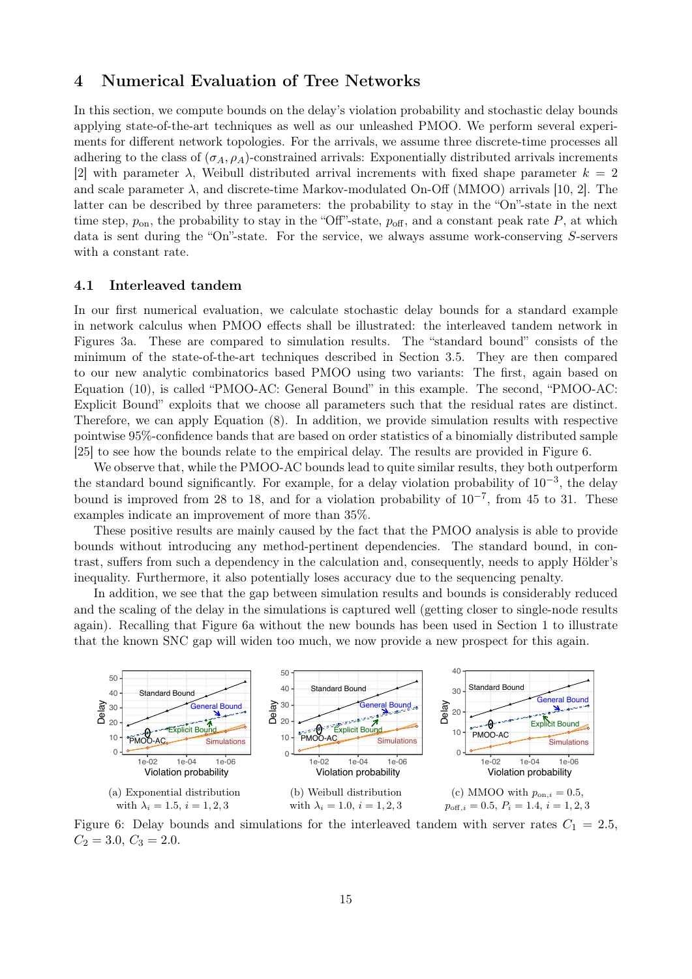## 4 Numerical Evaluation of Tree Networks

In this section, we compute bounds on the delay's violation probability and stochastic delay bounds applying state-of-the-art techniques as well as our unleashed PMOO. We perform several experiments for different network topologies. For the arrivals, we assume three discrete-time processes all adhering to the class of  $(\sigma_A, \rho_A)$ -constrained arrivals: Exponentially distributed arrivals increments [2] with parameter  $\lambda$ , Weibull distributed arrival increments with fixed shape parameter  $k = 2$ and scale parameter  $\lambda$ , and discrete-time Markov-modulated On-Off (MMOO) arrivals [10, 2]. The latter can be described by three parameters: the probability to stay in the "On"-state in the next time step,  $p_{on}$ , the probability to stay in the "Off"-state,  $p_{off}$ , and a constant peak rate P, at which data is sent during the "On"-state. For the service, we always assume work-conserving S-servers with a constant rate.

#### 4.1 Interleaved tandem

In our first numerical evaluation, we calculate stochastic delay bounds for a standard example in network calculus when PMOO effects shall be illustrated: the interleaved tandem network in Figures 3a. These are compared to simulation results. The "standard bound" consists of the minimum of the state-of-the-art techniques described in Section 3.5. They are then compared to our new analytic combinatorics based PMOO using two variants: The first, again based on Equation (10), is called "PMOO-AC: General Bound" in this example. The second, "PMOO-AC: Explicit Bound" exploits that we choose all parameters such that the residual rates are distinct. Therefore, we can apply Equation (8). In addition, we provide simulation results with respective pointwise 95%-confidence bands that are based on order statistics of a binomially distributed sample [25] to see how the bounds relate to the empirical delay. The results are provided in Figure 6.

We observe that, while the PMOO-AC bounds lead to quite similar results, they both outperform the standard bound significantly. For example, for a delay violation probability of 10−<sup>3</sup> , the delay bound is improved from 28 to 18, and for a violation probability of  $10^{-7}$ , from 45 to 31. These examples indicate an improvement of more than 35%.

These positive results are mainly caused by the fact that the PMOO analysis is able to provide bounds without introducing any method-pertinent dependencies. The standard bound, in contrast, suffers from such a dependency in the calculation and, consequently, needs to apply Hölder's inequality. Furthermore, it also potentially loses accuracy due to the sequencing penalty.

In addition, we see that the gap between simulation results and bounds is considerably reduced and the scaling of the delay in the simulations is captured well (getting closer to single-node results again). Recalling that Figure 6a without the new bounds has been used in Section 1 to illustrate that the known SNC gap will widen too much, we now provide a new prospect for this again.



Figure 6: Delay bounds and simulations for the interleaved tandem with server rates  $C_1 = 2.5$ ,  $C_2 = 3.0, C_3 = 2.0.$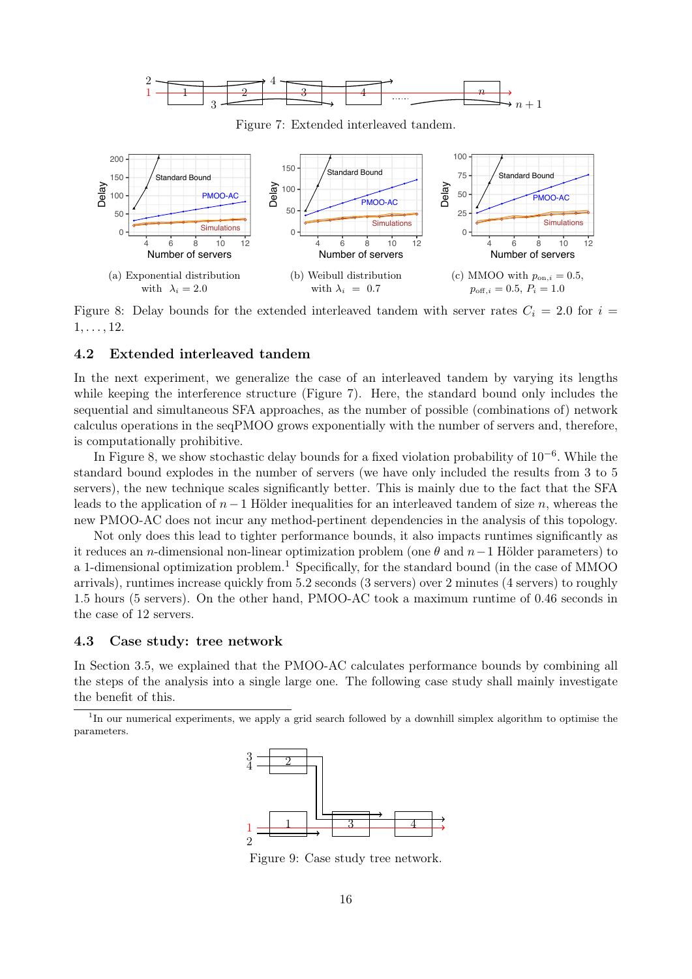

Figure 7: Extended interleaved tandem.



Figure 8: Delay bounds for the extended interleaved tandem with server rates  $C_i = 2.0$  for  $i =$  $1, \ldots, 12.$ 

#### 4.2 Extended interleaved tandem

In the next experiment, we generalize the case of an interleaved tandem by varying its lengths while keeping the interference structure (Figure 7). Here, the standard bound only includes the sequential and simultaneous SFA approaches, as the number of possible (combinations of) network calculus operations in the seqPMOO grows exponentially with the number of servers and, therefore, is computationally prohibitive.

In Figure 8, we show stochastic delay bounds for a fixed violation probability of 10−<sup>6</sup> . While the standard bound explodes in the number of servers (we have only included the results from 3 to 5 servers), the new technique scales significantly better. This is mainly due to the fact that the SFA leads to the application of  $n-1$  Hölder inequalities for an interleaved tandem of size n, whereas the new PMOO-AC does not incur any method-pertinent dependencies in the analysis of this topology.

Not only does this lead to tighter performance bounds, it also impacts runtimes significantly as it reduces an n-dimensional non-linear optimization problem (one  $\theta$  and  $n-1$  Hölder parameters) to a 1-dimensional optimization problem.<sup>1</sup> Specifically, for the standard bound (in the case of MMOO) arrivals), runtimes increase quickly from 5.2 seconds (3 servers) over 2 minutes (4 servers) to roughly 1.5 hours (5 servers). On the other hand, PMOO-AC took a maximum runtime of 0.46 seconds in the case of 12 servers.

#### 4.3 Case study: tree network

In Section 3.5, we explained that the PMOO-AC calculates performance bounds by combining all the steps of the analysis into a single large one. The following case study shall mainly investigate the benefit of this.

<sup>&</sup>lt;sup>1</sup>In our numerical experiments, we apply a grid search followed by a downhill simplex algorithm to optimise the parameters.



Figure 9: Case study tree network.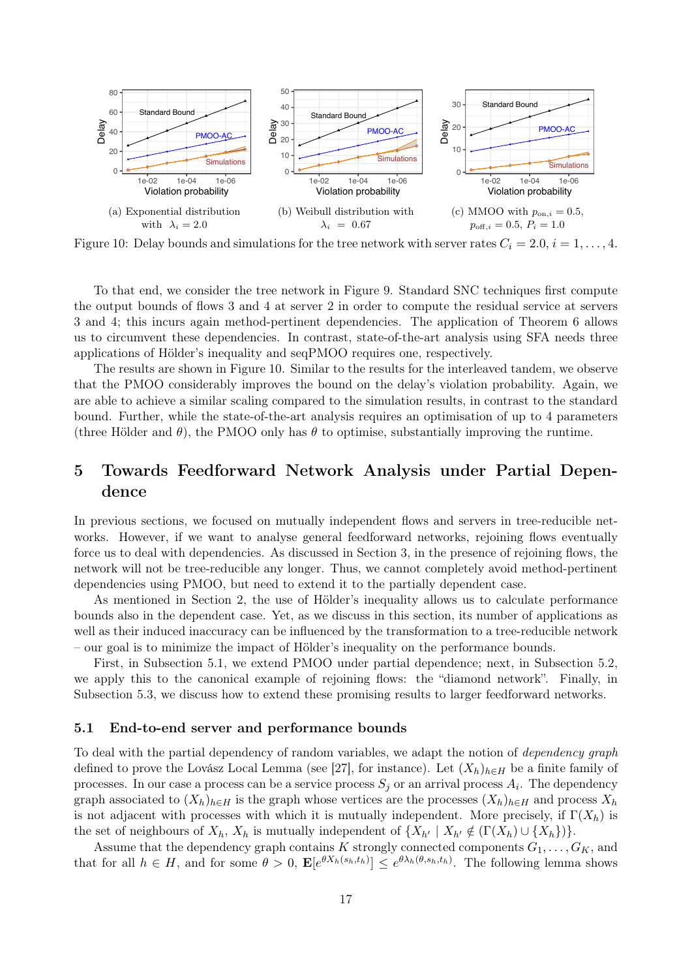

Figure 10: Delay bounds and simulations for the tree network with server rates  $C_i = 2.0, i = 1, \ldots, 4$ .

To that end, we consider the tree network in Figure 9. Standard SNC techniques first compute the output bounds of flows 3 and 4 at server 2 in order to compute the residual service at servers 3 and 4; this incurs again method-pertinent dependencies. The application of Theorem 6 allows us to circumvent these dependencies. In contrast, state-of-the-art analysis using SFA needs three applications of Hölder's inequality and seqPMOO requires one, respectively.

The results are shown in Figure 10. Similar to the results for the interleaved tandem, we observe that the PMOO considerably improves the bound on the delay's violation probability. Again, we are able to achieve a similar scaling compared to the simulation results, in contrast to the standard bound. Further, while the state-of-the-art analysis requires an optimisation of up to 4 parameters (three Hölder and  $\theta$ ), the PMOO only has  $\theta$  to optimise, substantially improving the runtime.

## 5 Towards Feedforward Network Analysis under Partial Dependence

In previous sections, we focused on mutually independent flows and servers in tree-reducible networks. However, if we want to analyse general feedforward networks, rejoining flows eventually force us to deal with dependencies. As discussed in Section 3, in the presence of rejoining flows, the network will not be tree-reducible any longer. Thus, we cannot completely avoid method-pertinent dependencies using PMOO, but need to extend it to the partially dependent case.

As mentioned in Section 2, the use of Hölder's inequality allows us to calculate performance bounds also in the dependent case. Yet, as we discuss in this section, its number of applications as well as their induced inaccuracy can be influenced by the transformation to a tree-reducible network – our goal is to minimize the impact of Hölder's inequality on the performance bounds.

First, in Subsection 5.1, we extend PMOO under partial dependence; next, in Subsection 5.2, we apply this to the canonical example of rejoining flows: the "diamond network". Finally, in Subsection 5.3, we discuss how to extend these promising results to larger feedforward networks.

#### 5.1 End-to-end server and performance bounds

To deal with the partial dependency of random variables, we adapt the notion of *dependency graph* defined to prove the Lovász Local Lemma (see [27], for instance). Let  $(X_h)_{h\in H}$  be a finite family of processes. In our case a process can be a service process  $S_j$  or an arrival process  $A_i$ . The dependency graph associated to  $(X_h)_{h\in H}$  is the graph whose vertices are the processes  $(X_h)_{h\in H}$  and process  $X_h$ is not adjacent with processes with which it is mutually independent. More precisely, if  $\Gamma(X_h)$  is the set of neighbours of  $X_h$ ,  $X_h$  is mutually independent of  $\{X_{h'} \mid X_{h'} \notin (\Gamma(X_h) \cup \{X_h\})\}.$ 

Assume that the dependency graph contains K strongly connected components  $G_1, \ldots, G_K$ , and that for all  $h \in H$ , and for some  $\theta > 0$ ,  $\mathbf{E}[e^{\theta X_h(s_h,t_h)}] \leq e^{\theta \lambda_h(\theta,s_h,t_h)}$ . The following lemma shows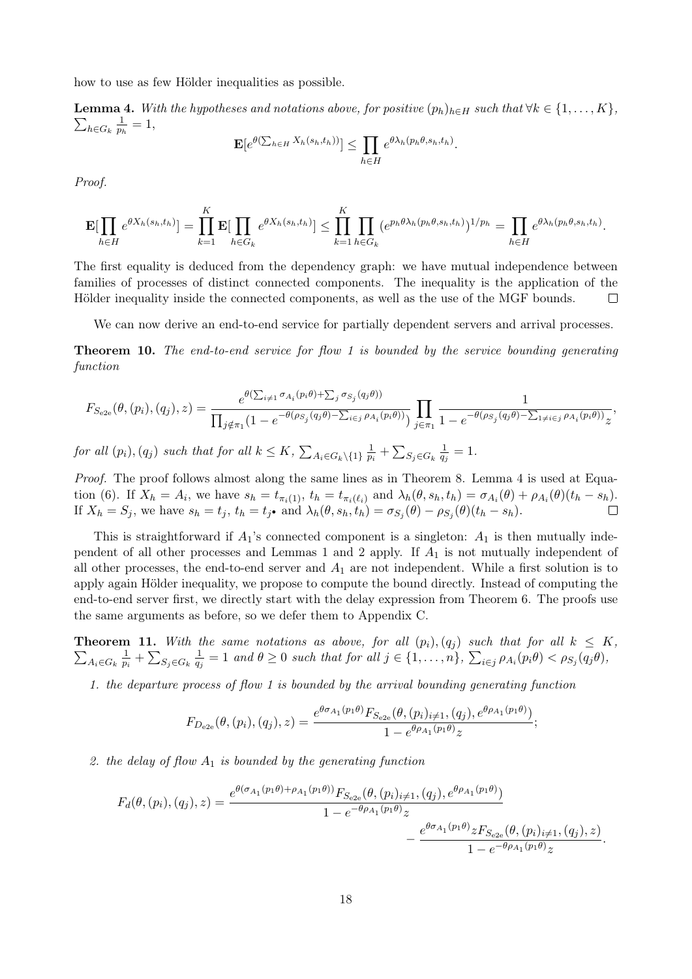how to use as few Hölder inequalities as possible.

**Lemma 4.** With the hypotheses and notations above, for positive  $(p_h)_{h\in H}$  such that  $\forall k \in \{1, ..., K\}$ ,  $\sum_{h\in G_k} \frac{1}{p_h}$  $\frac{1}{p_h}=1,$ 

$$
\mathbf{E}[e^{\theta(\sum_{h\in H}X_h(s_h,t_h))}]\leq \prod_{h\in H}e^{\theta\lambda_h(p_h\theta,s_h,t_h)}.
$$

Proof.

$$
\mathbf{E}[\prod_{h\in H}e^{\theta X_h(s_h,t_h)}] = \prod_{k=1}^K \mathbf{E}[\prod_{h\in G_k}e^{\theta X_h(s_h,t_h)}] \leq \prod_{k=1}^K \prod_{h\in G_k} (e^{p_h\theta\lambda_h(p_h\theta,s_h,t_h)})^{1/p_h} = \prod_{h\in H} e^{\theta\lambda_h(p_h\theta,s_h,t_h)}.
$$

The first equality is deduced from the dependency graph: we have mutual independence between families of processes of distinct connected components. The inequality is the application of the Hölder inequality inside the connected components, as well as the use of the MGF bounds.  $\Box$ 

We can now derive an end-to-end service for partially dependent servers and arrival processes.

**Theorem 10.** The end-to-end service for flow 1 is bounded by the service bounding generating function

$$
F_{S_{e2e}}(\theta, (p_i), (q_j), z) = \frac{e^{\theta(\sum_{i \neq 1} \sigma_{A_i}(p_i \theta) + \sum_j \sigma_{S_j}(q_j \theta))}}{\prod_{j \notin \pi_1} (1 - e^{-\theta(\rho_{S_j}(q_j \theta) - \sum_{i \in j} \rho_{A_i}(p_i \theta))})} \prod_{j \in \pi_1} \frac{1}{1 - e^{-\theta(\rho_{S_j}(q_j \theta) - \sum_{1 \neq i \in j} \rho_{A_i}(p_i \theta))} z},
$$

for all  $(p_i)$ ,  $(q_j)$  such that for all  $k \leq K$ ,  $\sum_{A_i \in G_k \setminus \{1\}} \frac{1}{p_i}$  $\frac{1}{p_i} + \sum_{S_j \in G_k} \frac{1}{q_j}$  $\frac{1}{q_j}=1.$ 

Proof. The proof follows almost along the same lines as in Theorem 8. Lemma 4 is used at Equation (6). If  $X_h = A_i$ , we have  $s_h = t_{\pi_i(1)}$ ,  $t_h = t_{\pi_i(\ell_i)}$  and  $\lambda_h(\theta, s_h, t_h) = \sigma_{A_i}(\theta) + \rho_{A_i}(\theta)(t_h - s_h)$ . If  $X_h = S_j$ , we have  $s_h = t_j$ ,  $t_h = t_j$  and  $\lambda_h(\theta, s_h, t_h) = \sigma_{S_j}(\theta) - \rho_{S_j}(\theta)(t_h - s_h)$ .

This is straightforward if  $A_1$ 's connected component is a singleton:  $A_1$  is then mutually independent of all other processes and Lemmas 1 and 2 apply. If  $A_1$  is not mutually independent of all other processes, the end-to-end server and  $A_1$  are not independent. While a first solution is to apply again Hölder inequality, we propose to compute the bound directly. Instead of computing the end-to-end server first, we directly start with the delay expression from Theorem 6. The proofs use the same arguments as before, so we defer them to Appendix C.

**Theorem 11.** With the same notations as above, for all  $(p_i), (q_j)$  such that for all  $k \leq K$ ,  $\sum_{A_i \in G_k} \frac{1}{p_i}$  $\frac{1}{p_i} + \sum_{S_j \in G_k} \frac{1}{q_j}$  $\frac{1}{q_j} = 1$  and  $\theta \geq 0$  such that for all  $j \in \{1, ..., n\}$ ,  $\sum_{i \in j} \rho_{A_i}(p_i \theta) < \rho_{S_j}(q_j \theta)$ ,

1. the departure process of flow 1 is bounded by the arrival bounding generating function

$$
F_{D_{e2e}}(\theta, (p_i), (q_j), z) = \frac{e^{\theta \sigma_{A_1}(p_1 \theta)} F_{S_{e2e}}(\theta, (p_i)_{i \neq 1}, (q_j), e^{\theta \rho_{A_1}(p_1 \theta)})}{1 - e^{\theta \rho_{A_1}(p_1 \theta)} z};
$$

2. the delay of flow  $A_1$  is bounded by the generating function

$$
F_d(\theta, (p_i), (q_j), z) = \frac{e^{\theta(\sigma_{A_1}(p_1\theta) + \rho_{A_1}(p_1\theta))} F_{S_{e2e}}(\theta, (p_i)_{i\neq 1}, (q_j), e^{\theta \rho_{A_1}(p_1\theta)})}{1 - e^{-\theta \rho_{A_1}(p_1\theta)} z} - \frac{e^{\theta \sigma_{A_1}(p_1\theta)} z F_{S_{e2e}}(\theta, (p_i)_{i\neq 1}, (q_j), z)}{1 - e^{-\theta \rho_{A_1}(p_1\theta)} z}.
$$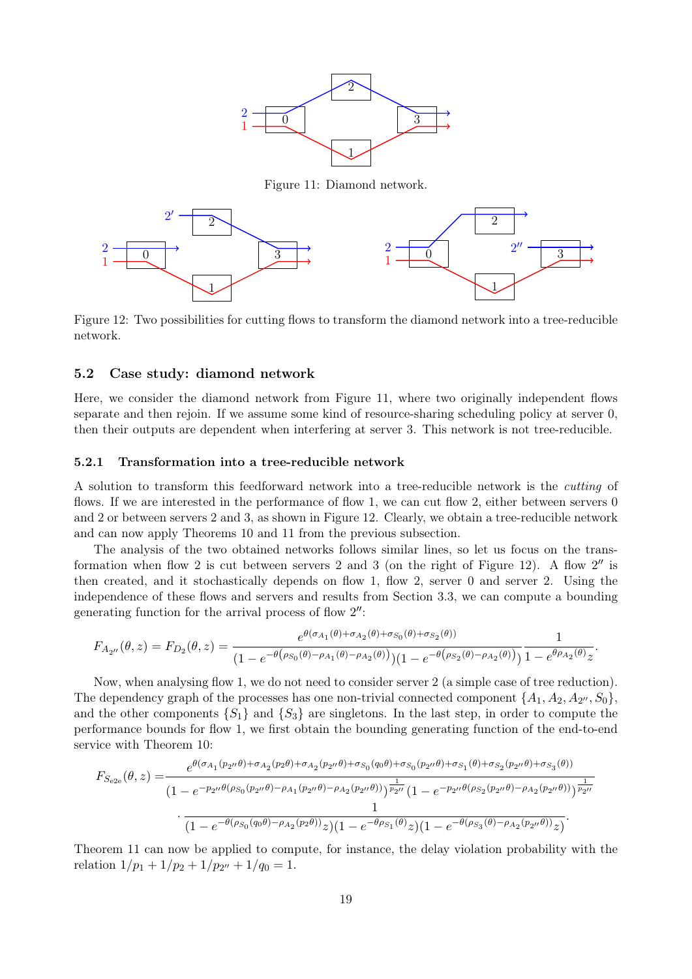

Figure 11: Diamond network.



Figure 12: Two possibilities for cutting flows to transform the diamond network into a tree-reducible network.

#### 5.2 Case study: diamond network

Here, we consider the diamond network from Figure 11, where two originally independent flows separate and then rejoin. If we assume some kind of resource-sharing scheduling policy at server 0, then their outputs are dependent when interfering at server 3. This network is not tree-reducible.

#### 5.2.1 Transformation into a tree-reducible network

A solution to transform this feedforward network into a tree-reducible network is the cutting of flows. If we are interested in the performance of flow 1, we can cut flow 2, either between servers 0 and 2 or between servers 2 and 3, as shown in Figure 12. Clearly, we obtain a tree-reducible network and can now apply Theorems 10 and 11 from the previous subsection.

The analysis of the two obtained networks follows similar lines, so let us focus on the transformation when flow 2 is cut between servers 2 and 3 (on the right of Figure 12). A flow 2" is then created, and it stochastically depends on flow 1, flow 2, server 0 and server 2. Using the independence of these flows and servers and results from Section 3.3, we can compute a bounding generating function for the arrival process of flow  $2''$ :

$$
F_{A_{2''}}(\theta, z) = F_{D_2}(\theta, z) = \frac{e^{\theta(\sigma_{A_1}(\theta) + \sigma_{A_2}(\theta) + \sigma_{S_0}(\theta) + \sigma_{S_2}(\theta))}}{(1 - e^{-\theta(\rho_{S_0}(\theta) - \rho_{A_1}(\theta) - \rho_{A_2}(\theta))})(1 - e^{-\theta(\rho_{S_2}(\theta) - \rho_{A_2}(\theta))})}\frac{1}{1 - e^{\theta \rho_{A_2}(\theta)}z}.
$$

Now, when analysing flow 1, we do not need to consider server 2 (a simple case of tree reduction). The dependency graph of the processes has one non-trivial connected component  $\{A_1, A_2, A_{2'}', S_0\}$ , and the other components  $\{S_1\}$  and  $\{S_3\}$  are singletons. In the last step, in order to compute the performance bounds for flow 1, we first obtain the bounding generating function of the end-to-end service with Theorem 10:

$$
F_{S_{e2e}}(\theta, z) = \frac{e^{\theta(\sigma_{A_1}(p_{2''}\theta) + \sigma_{A_2}(p_{2}\theta) + \sigma_{A_2}(p_{2''}\theta) + \sigma_{S_0}(q_0\theta) + \sigma_{S_0}(p_{2''}\theta) + \sigma_{S_1}(\theta) + \sigma_{S_2}(p_{2''}\theta) + \sigma_{S_3}(\theta))}}{(1 - e^{-p_{2''}\theta(\rho_{S_0}(p_{2''}\theta) - \rho_{A_1}(p_{2''}\theta) - \rho_{A_2}(p_{2''}\theta))})\frac{1}{p_{2''}}}(1 - e^{-p_{2''}\theta(\rho_{S_2}(p_{2''}\theta) - \rho_{A_2}(p_{2''}\theta))})\frac{1}{p_{2''}}}{(1 - e^{-\theta(\rho_{S_0}(q_0\theta) - \rho_{A_2}(p_{2}\theta))}z)(1 - e^{-\theta\rho_{S_1}(\theta)}z)(1 - e^{-\theta(\rho_{S_3}(\theta) - \rho_{A_2}(p_{2''}\theta))}z)}.
$$

Theorem 11 can now be applied to compute, for instance, the delay violation probability with the relation  $1/p_1 + 1/p_2 + 1/p_{2''} + 1/q_0 = 1$ .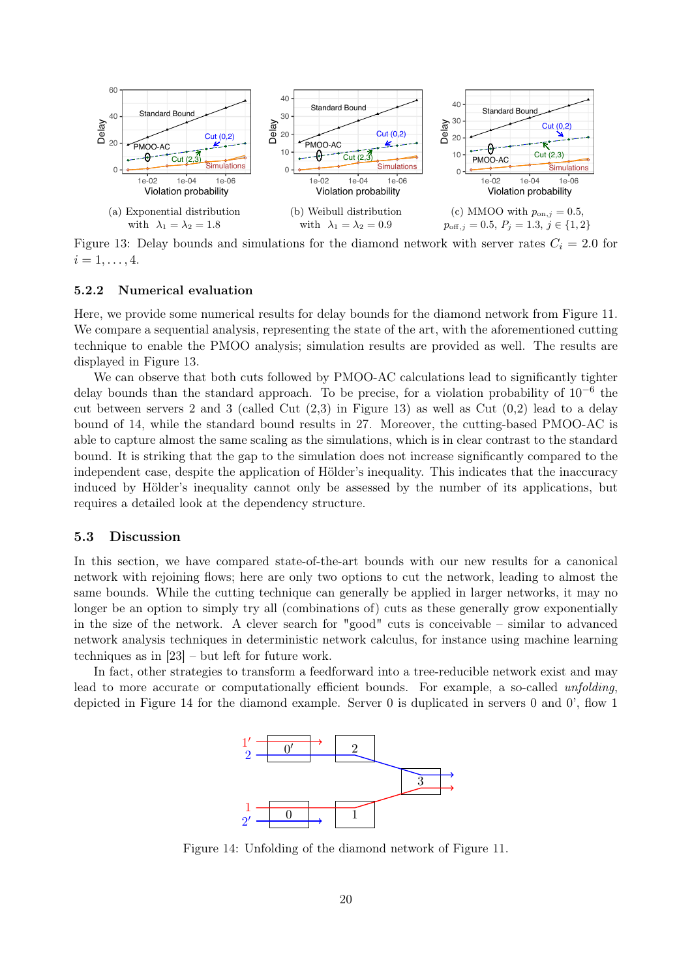

Figure 13: Delay bounds and simulations for the diamond network with server rates  $C_i = 2.0$  for  $i = 1, \ldots, 4.$ 

#### 5.2.2 Numerical evaluation

Here, we provide some numerical results for delay bounds for the diamond network from Figure 11. We compare a sequential analysis, representing the state of the art, with the aforementioned cutting technique to enable the PMOO analysis; simulation results are provided as well. The results are displayed in Figure 13.

We can observe that both cuts followed by PMOO-AC calculations lead to significantly tighter delay bounds than the standard approach. To be precise, for a violation probability of 10<sup>-6</sup> the cut between servers 2 and 3 (called Cut  $(2,3)$  in Figure 13) as well as Cut  $(0,2)$  lead to a delay bound of 14, while the standard bound results in 27. Moreover, the cutting-based PMOO-AC is able to capture almost the same scaling as the simulations, which is in clear contrast to the standard bound. It is striking that the gap to the simulation does not increase significantly compared to the independent case, despite the application of Hölder's inequality. This indicates that the inaccuracy induced by Hölder's inequality cannot only be assessed by the number of its applications, but requires a detailed look at the dependency structure.

#### 5.3 Discussion

In this section, we have compared state-of-the-art bounds with our new results for a canonical network with rejoining flows; here are only two options to cut the network, leading to almost the same bounds. While the cutting technique can generally be applied in larger networks, it may no longer be an option to simply try all (combinations of) cuts as these generally grow exponentially in the size of the network. A clever search for "good" cuts is conceivable – similar to advanced network analysis techniques in deterministic network calculus, for instance using machine learning techniques as in [23] – but left for future work.

In fact, other strategies to transform a feedforward into a tree-reducible network exist and may lead to more accurate or computationally efficient bounds. For example, a so-called *unfolding*, depicted in Figure 14 for the diamond example. Server 0 is duplicated in servers 0 and 0', flow 1



Figure 14: Unfolding of the diamond network of Figure 11.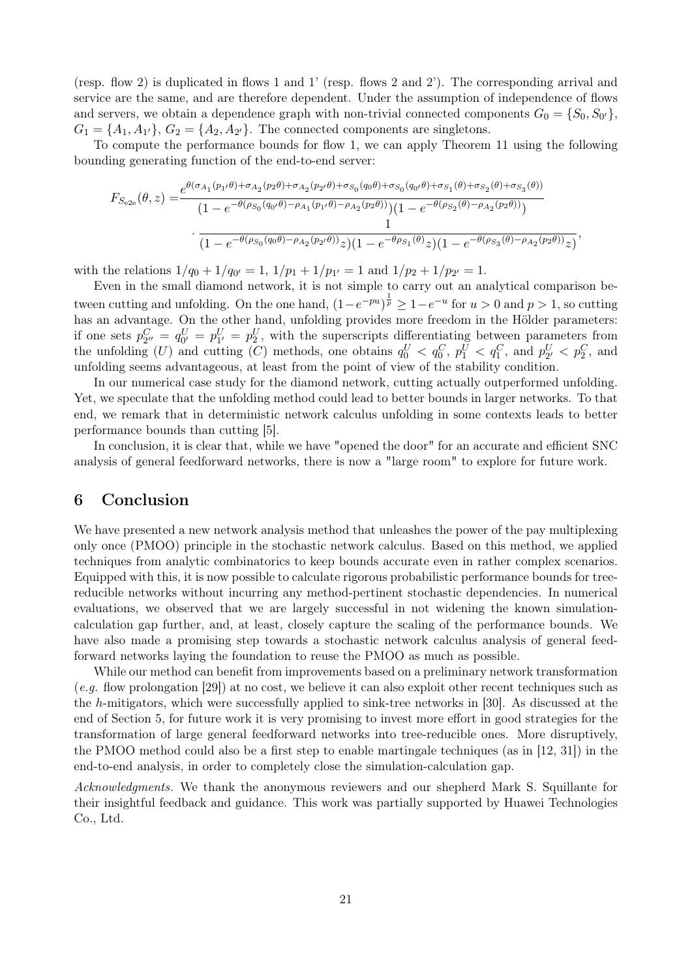(resp. flow 2) is duplicated in flows 1 and 1' (resp. flows 2 and 2'). The corresponding arrival and service are the same, and are therefore dependent. Under the assumption of independence of flows and servers, we obtain a dependence graph with non-trivial connected components  $G_0 = \{S_0, S_{0'}\},\$  $G_1 = \{A_1, A_{1'}\}, G_2 = \{A_2, A_{2'}\}.$  The connected components are singletons.

To compute the performance bounds for flow 1, we can apply Theorem 11 using the following bounding generating function of the end-to-end server:

$$
F_{S_{e2e}}(\theta, z) = \frac{e^{\theta(\sigma_{A_1}(p_{1'}\theta) + \sigma_{A_2}(p_{2}\theta) + \sigma_{A_2}(p_{2'}\theta) + \sigma_{S_0}(q_{0}\theta) + \sigma_{S_0}(q_{0'}\theta) + \sigma_{S_1}(\theta) + \sigma_{S_2}(\theta) + \sigma_{S_3}(\theta))}{(1 - e^{-\theta(\rho_{S_0}(q_{0'}\theta) - \rho_{A_1}(p_{1'}\theta) - \rho_{A_2}(p_{2}\theta))})(1 - e^{-\theta(\rho_{S_2}(\theta) - \rho_{A_2}(p_{2}\theta))})}
$$

$$
\cdot \frac{1}{(1 - e^{-\theta(\rho_{S_0}(q_{0}\theta) - \rho_{A_2}(p_{2'}\theta))z)(1 - e^{-\theta\rho_{S_1}(\theta)}z)(1 - e^{-\theta(\rho_{S_3}(\theta) - \rho_{A_2}(p_{2}\theta))z})},
$$

with the relations  $1/q_0 + 1/q_{0'} = 1$ ,  $1/p_1 + 1/p_{1'} = 1$  and  $1/p_2 + 1/p_{2'} = 1$ .

Even in the small diamond network, it is not simple to carry out an analytical comparison between cutting and unfolding. On the one hand,  $(1-e^{-pu})^{\frac{1}{p}} \geq 1-e^{-u}$  for  $u > 0$  and  $p > 1$ , so cutting has an advantage. On the other hand, unfolding provides more freedom in the Hölder parameters: if one sets  $p_{2'}^C = q_{0'}^U = p_{1'}^U = p_2^U$ , with the superscripts differentiating between parameters from the unfolding (U) and cutting (C) methods, one obtains  $q_0^U < q_0^C$ ,  $p_1^U < q_1^C$ , and  $p_{2'}^U < p_2^C$ , and unfolding seems advantageous, at least from the point of view of the stability condition.

In our numerical case study for the diamond network, cutting actually outperformed unfolding. Yet, we speculate that the unfolding method could lead to better bounds in larger networks. To that end, we remark that in deterministic network calculus unfolding in some contexts leads to better performance bounds than cutting [5].

In conclusion, it is clear that, while we have "opened the door" for an accurate and efficient SNC analysis of general feedforward networks, there is now a "large room" to explore for future work.

### 6 Conclusion

We have presented a new network analysis method that unleashes the power of the pay multiplexing only once (PMOO) principle in the stochastic network calculus. Based on this method, we applied techniques from analytic combinatorics to keep bounds accurate even in rather complex scenarios. Equipped with this, it is now possible to calculate rigorous probabilistic performance bounds for treereducible networks without incurring any method-pertinent stochastic dependencies. In numerical evaluations, we observed that we are largely successful in not widening the known simulationcalculation gap further, and, at least, closely capture the scaling of the performance bounds. We have also made a promising step towards a stochastic network calculus analysis of general feedforward networks laying the foundation to reuse the PMOO as much as possible.

While our method can benefit from improvements based on a preliminary network transformation (e.g. flow prolongation [29]) at no cost, we believe it can also exploit other recent techniques such as the h-mitigators, which were successfully applied to sink-tree networks in [30]. As discussed at the end of Section 5, for future work it is very promising to invest more effort in good strategies for the transformation of large general feedforward networks into tree-reducible ones. More disruptively, the PMOO method could also be a first step to enable martingale techniques (as in [12, 31]) in the end-to-end analysis, in order to completely close the simulation-calculation gap.

Acknowledgments. We thank the anonymous reviewers and our shepherd Mark S. Squillante for their insightful feedback and guidance. This work was partially supported by Huawei Technologies Co., Ltd.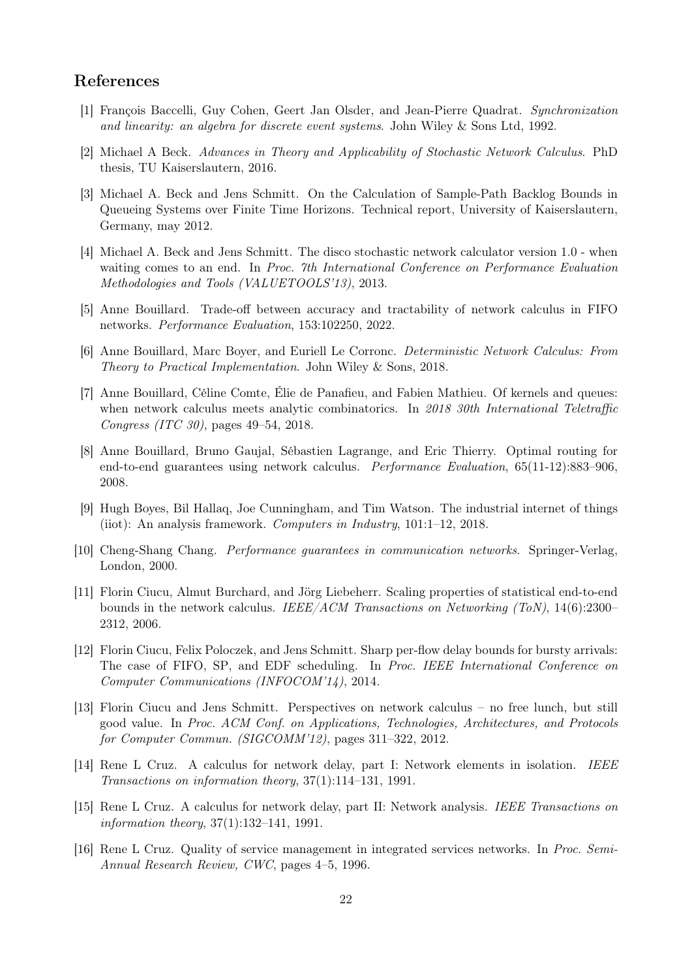### References

- [1] François Baccelli, Guy Cohen, Geert Jan Olsder, and Jean-Pierre Quadrat. Synchronization and linearity: an algebra for discrete event systems. John Wiley & Sons Ltd, 1992.
- [2] Michael A Beck. Advances in Theory and Applicability of Stochastic Network Calculus. PhD thesis, TU Kaiserslautern, 2016.
- [3] Michael A. Beck and Jens Schmitt. On the Calculation of Sample-Path Backlog Bounds in Queueing Systems over Finite Time Horizons. Technical report, University of Kaiserslautern, Germany, may 2012.
- [4] Michael A. Beck and Jens Schmitt. The disco stochastic network calculator version 1.0 when waiting comes to an end. In Proc. 7th International Conference on Performance Evaluation Methodologies and Tools (VALUETOOLS'13), 2013.
- [5] Anne Bouillard. Trade-off between accuracy and tractability of network calculus in FIFO networks. Performance Evaluation, 153:102250, 2022.
- [6] Anne Bouillard, Marc Boyer, and Euriell Le Corronc. Deterministic Network Calculus: From Theory to Practical Implementation. John Wiley & Sons, 2018.
- [7] Anne Bouillard, Céline Comte, Élie de Panafieu, and Fabien Mathieu. Of kernels and queues: when network calculus meets analytic combinatorics. In 2018 30th International Teletraffic Congress (ITC 30), pages 49–54, 2018.
- [8] Anne Bouillard, Bruno Gaujal, Sébastien Lagrange, and Eric Thierry. Optimal routing for end-to-end guarantees using network calculus. Performance Evaluation, 65(11-12):883–906, 2008.
- [9] Hugh Boyes, Bil Hallaq, Joe Cunningham, and Tim Watson. The industrial internet of things (iiot): An analysis framework. Computers in Industry, 101:1–12, 2018.
- [10] Cheng-Shang Chang. Performance guarantees in communication networks. Springer-Verlag, London, 2000.
- [11] Florin Ciucu, Almut Burchard, and Jörg Liebeherr. Scaling properties of statistical end-to-end bounds in the network calculus. IEEE/ACM Transactions on Networking (ToN),  $14(6):2300-$ 2312, 2006.
- [12] Florin Ciucu, Felix Poloczek, and Jens Schmitt. Sharp per-flow delay bounds for bursty arrivals: The case of FIFO, SP, and EDF scheduling. In Proc. IEEE International Conference on Computer Communications (INFOCOM'14), 2014.
- [13] Florin Ciucu and Jens Schmitt. Perspectives on network calculus no free lunch, but still good value. In Proc. ACM Conf. on Applications, Technologies, Architectures, and Protocols for Computer Commun. (SIGCOMM'12), pages 311–322, 2012.
- [14] Rene L Cruz. A calculus for network delay, part I: Network elements in isolation. IEEE Transactions on information theory, 37(1):114–131, 1991.
- [15] Rene L Cruz. A calculus for network delay, part II: Network analysis. IEEE Transactions on information theory, 37(1):132–141, 1991.
- [16] Rene L Cruz. Quality of service management in integrated services networks. In Proc. Semi-Annual Research Review, CWC, pages 4–5, 1996.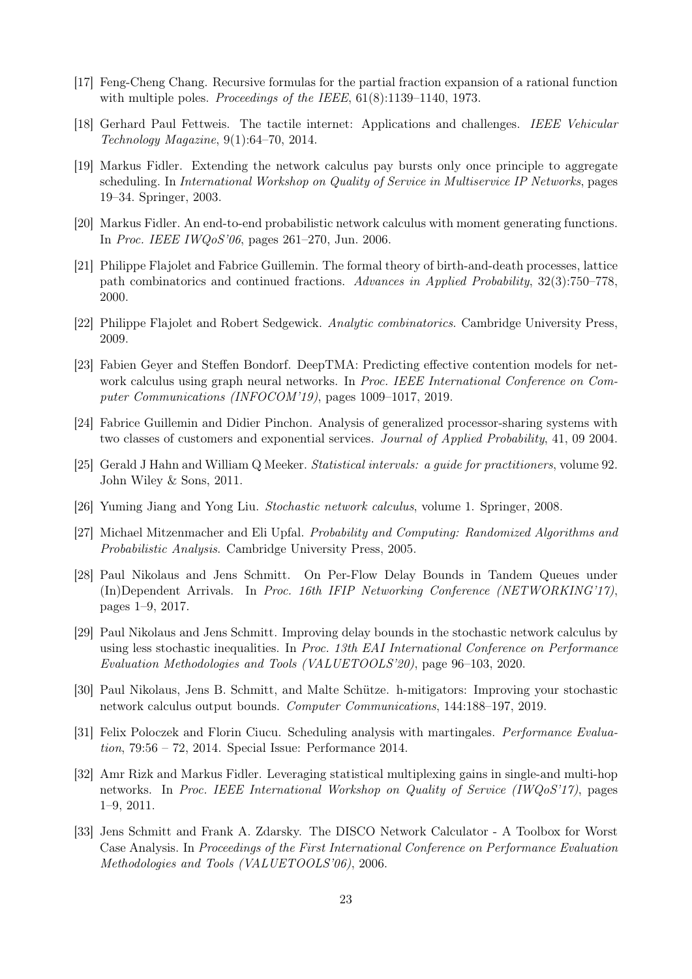- [17] Feng-Cheng Chang. Recursive formulas for the partial fraction expansion of a rational function with multiple poles. *Proceedings of the IEEE*,  $61(8):1139-1140$ , 1973.
- [18] Gerhard Paul Fettweis. The tactile internet: Applications and challenges. IEEE Vehicular Technology Magazine, 9(1):64–70, 2014.
- [19] Markus Fidler. Extending the network calculus pay bursts only once principle to aggregate scheduling. In International Workshop on Quality of Service in Multiservice IP Networks, pages 19–34. Springer, 2003.
- [20] Markus Fidler. An end-to-end probabilistic network calculus with moment generating functions. In Proc. IEEE IWQoS'06, pages 261–270, Jun. 2006.
- [21] Philippe Flajolet and Fabrice Guillemin. The formal theory of birth-and-death processes, lattice path combinatorics and continued fractions. Advances in Applied Probability, 32(3):750–778, 2000.
- [22] Philippe Flajolet and Robert Sedgewick. Analytic combinatorics. Cambridge University Press, 2009.
- [23] Fabien Geyer and Steffen Bondorf. DeepTMA: Predicting effective contention models for network calculus using graph neural networks. In *Proc. IEEE International Conference on Com*puter Communications (INFOCOM'19), pages 1009–1017, 2019.
- [24] Fabrice Guillemin and Didier Pinchon. Analysis of generalized processor-sharing systems with two classes of customers and exponential services. Journal of Applied Probability, 41, 09 2004.
- [25] Gerald J Hahn and William Q Meeker. Statistical intervals: a guide for practitioners, volume 92. John Wiley & Sons, 2011.
- [26] Yuming Jiang and Yong Liu. Stochastic network calculus, volume 1. Springer, 2008.
- [27] Michael Mitzenmacher and Eli Upfal. Probability and Computing: Randomized Algorithms and Probabilistic Analysis. Cambridge University Press, 2005.
- [28] Paul Nikolaus and Jens Schmitt. On Per-Flow Delay Bounds in Tandem Queues under (In)Dependent Arrivals. In Proc. 16th IFIP Networking Conference (NETWORKING'17), pages 1–9, 2017.
- [29] Paul Nikolaus and Jens Schmitt. Improving delay bounds in the stochastic network calculus by using less stochastic inequalities. In Proc. 13th EAI International Conference on Performance Evaluation Methodologies and Tools (VALUETOOLS'20), page 96–103, 2020.
- [30] Paul Nikolaus, Jens B. Schmitt, and Malte Schütze. h-mitigators: Improving your stochastic network calculus output bounds. Computer Communications, 144:188–197, 2019.
- [31] Felix Poloczek and Florin Ciucu. Scheduling analysis with martingales. Performance Evaluation, 79:56 – 72, 2014. Special Issue: Performance 2014.
- [32] Amr Rizk and Markus Fidler. Leveraging statistical multiplexing gains in single-and multi-hop networks. In Proc. IEEE International Workshop on Quality of Service (IWQoS'17), pages 1–9, 2011.
- [33] Jens Schmitt and Frank A. Zdarsky. The DISCO Network Calculator A Toolbox for Worst Case Analysis. In Proceedings of the First International Conference on Performance Evaluation Methodologies and Tools (VALUETOOLS'06), 2006.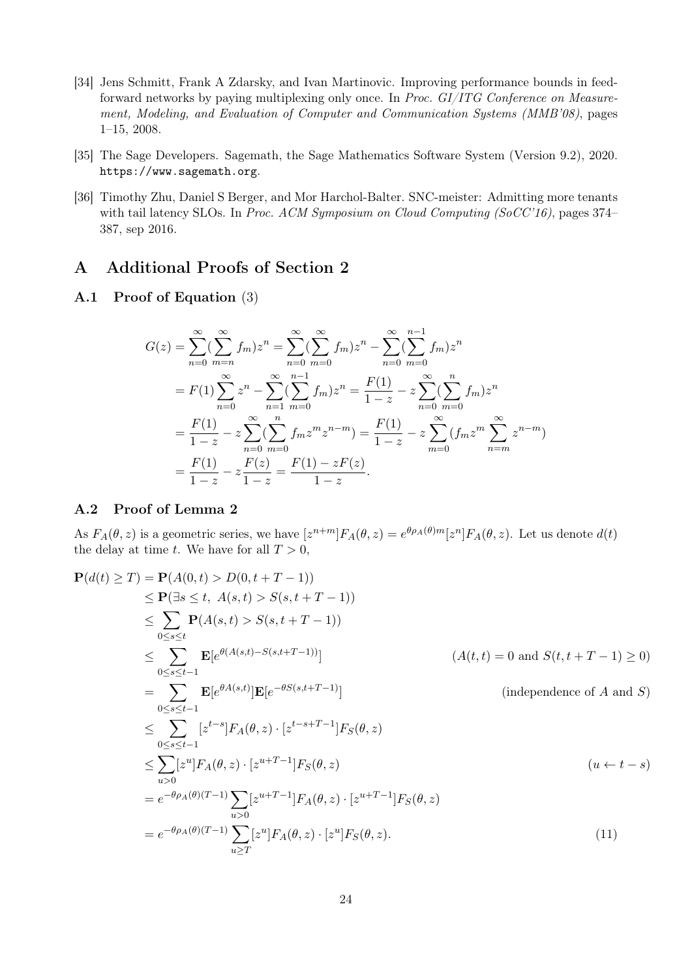- [34] Jens Schmitt, Frank A Zdarsky, and Ivan Martinovic. Improving performance bounds in feedforward networks by paying multiplexing only once. In Proc. GI/ITG Conference on Measurement, Modeling, and Evaluation of Computer and Communication Systems (MMB'08), pages 1–15, 2008.
- [35] The Sage Developers. Sagemath, the Sage Mathematics Software System (Version 9.2), 2020. https://www.sagemath.org.
- [36] Timothy Zhu, Daniel S Berger, and Mor Harchol-Balter. SNC-meister: Admitting more tenants with tail latency SLOs. In Proc. ACM Symposium on Cloud Computing (SoCC'16), pages 374– 387, sep 2016.

### A Additional Proofs of Section 2

#### A.1 Proof of Equation (3)

$$
G(z) = \sum_{n=0}^{\infty} (\sum_{m=n}^{\infty} f_m) z^n = \sum_{n=0}^{\infty} (\sum_{m=0}^{\infty} f_m) z^n - \sum_{n=0}^{\infty} (\sum_{m=0}^{n-1} f_m) z^n
$$
  
=  $F(1) \sum_{n=0}^{\infty} z^n - \sum_{n=1}^{\infty} (\sum_{m=0}^{n-1} f_m) z^n = \frac{F(1)}{1-z} - z \sum_{n=0}^{\infty} (\sum_{m=0}^{n} f_m) z^n$   
=  $\frac{F(1)}{1-z} - z \sum_{n=0}^{\infty} (\sum_{m=0}^{n} f_m z^m z^{n-m}) = \frac{F(1)}{1-z} - z \sum_{m=0}^{\infty} (f_m z^m \sum_{n=m}^{\infty} z^{n-m})$   
=  $\frac{F(1)}{1-z} - z \frac{F(z)}{1-z} = \frac{F(1) - zF(z)}{1-z}.$ 

#### A.2 Proof of Lemma 2

As  $F_A(\theta, z)$  is a geometric series, we have  $[z^{n+m}]F_A(\theta, z) = e^{\theta \rho_A(\theta)m}[z^n]F_A(\theta, z)$ . Let us denote  $d(t)$ the delay at time t. We have for all  $T > 0$ ,

$$
\mathbf{P}(d(t) \geq T) = \mathbf{P}(A(0, t) > D(0, t + T - 1))
$$
\n
$$
\leq \mathbf{P}(\exists s \leq t, A(s, t) > S(s, t + T - 1))
$$
\n
$$
\leq \sum_{0 \leq s \leq t} \mathbf{P}(A(s, t) > S(s, t + T - 1))
$$
\n
$$
\leq \sum_{0 \leq s \leq t-1} \mathbf{E}[e^{\theta(A(s, t) - S(s, t + T - 1))}] \qquad (A(t, t) = 0 \text{ and } S(t, t + T - 1) \geq 0)
$$
\n
$$
= \sum_{0 \leq s \leq t-1} \mathbf{E}[e^{\theta(A(s, t)}] \mathbf{E}[e^{-\theta S(s, t + T - 1)}] \qquad (\text{independence of } A \text{ and } S)
$$
\n
$$
\leq \sum_{0 \leq s \leq t-1} [z^{t-s}] F_A(\theta, z) \cdot [z^{t-s+T-1}] F_S(\theta, z)
$$
\n
$$
\leq \sum_{u > 0} [z^u] F_A(\theta, z) \cdot [z^{u+T-1}] F_S(\theta, z) \qquad (u \leftarrow t - s)
$$
\n
$$
= e^{-\theta \rho_A(\theta)(T-1)} \sum_{u > 0} [z^{u+T-1}] F_A(\theta, z) \cdot [z^{u+T-1}] F_S(\theta, z)
$$
\n
$$
= e^{-\theta \rho_A(\theta)(T-1)} \sum_{u \geq T} [z^u] F_A(\theta, z) \cdot [z^u] F_S(\theta, z).
$$
\n(11)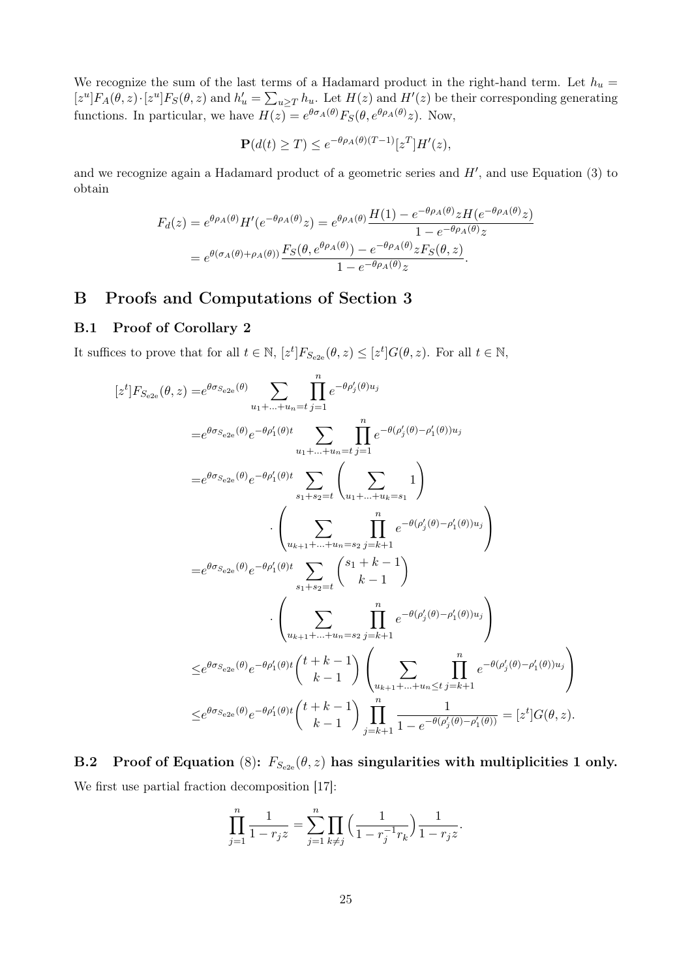We recognize the sum of the last terms of a Hadamard product in the right-hand term. Let  $h_u =$  $[z^u]F_A(\theta, z) \cdot [z^u]F_S(\theta, z)$  and  $h'_u = \sum_{u \ge T} h_u$ . Let  $H(z)$  and  $H'(z)$  be their corresponding generating functions. In particular, we have  $H(z) = e^{\theta \sigma_A(\theta)} F_S(\theta, e^{\theta \rho_A(\theta)} z)$ . Now,

$$
\mathbf{P}(d(t) \ge T) \le e^{-\theta \rho_A(\theta)(T-1)} [z^T] H'(z),
$$

and we recognize again a Hadamard product of a geometric series and  $H'$ , and use Equation (3) to obtain

$$
F_d(z) = e^{\theta \rho_A(\theta)} H'(e^{-\theta \rho_A(\theta)} z) = e^{\theta \rho_A(\theta)} \frac{H(1) - e^{-\theta \rho_A(\theta)} z H(e^{-\theta \rho_A(\theta)} z)}{1 - e^{-\theta \rho_A(\theta)} z}
$$
  
= 
$$
e^{\theta(\sigma_A(\theta) + \rho_A(\theta))} \frac{F_S(\theta, e^{\theta \rho_A(\theta)}) - e^{-\theta \rho_A(\theta)} z F_S(\theta, z)}{1 - e^{-\theta \rho_A(\theta)} z}.
$$

## B Proofs and Computations of Section 3

### B.1 Proof of Corollary 2

It suffices to prove that for all  $t \in \mathbb{N}$ ,  $[z^t]F_{S_{e2e}}(\theta, z) \leq [z^t]G(\theta, z)$ . For all  $t \in \mathbb{N}$ ,

$$
[z^t]F_{S_{e2e}}(\theta, z) = e^{\theta \sigma_{S_{e2e}}(\theta)} \sum_{u_1 + \dots + u_n = t} \prod_{j=1}^n e^{-\theta \rho'_j(\theta) u_j}
$$
  
\n
$$
= e^{\theta \sigma_{S_{e2e}}(\theta)} e^{-\theta \rho'_1(\theta)t} \sum_{u_1 + \dots + u_n = t} \prod_{j=1}^n e^{-\theta(\rho'_j(\theta) - \rho'_1(\theta)) u_j}
$$
  
\n
$$
= e^{\theta \sigma_{S_{e2e}}(\theta)} e^{-\theta \rho'_1(\theta)t} \sum_{s_1 + s_2 = t} \left( \sum_{u_1 + \dots + u_k = s_1} 1 \right)
$$
  
\n
$$
\cdot \left( \sum_{u_{k+1} + \dots + u_n = s_2} \prod_{j=k+1}^n e^{-\theta(\rho'_j(\theta) - \rho'_1(\theta)) u_j} \right)
$$
  
\n
$$
= e^{\theta \sigma_{S_{e2e}}(\theta)} e^{-\theta \rho'_1(\theta)t} \sum_{s_1 + s_2 = t} {s_1 + s_2 + t \choose k - 1}
$$
  
\n
$$
\cdot \left( \sum_{u_{k+1} + \dots + u_n = s_2} \prod_{j=k+1}^n e^{-\theta(\rho'_j(\theta) - \rho'_1(\theta)) u_j} \right)
$$
  
\n
$$
\leq e^{\theta \sigma_{S_{e2e}}(\theta)} e^{-\theta \rho'_1(\theta)t} {t + k - 1 \choose k - 1} \left( \sum_{u_{k+1} + \dots + u_n \leq t} \prod_{j=k+1}^n e^{-\theta(\rho'_j(\theta) - \rho'_1(\theta)) u_j} \right)
$$
  
\n
$$
\leq e^{\theta \sigma_{S_{e2e}}(\theta)} e^{-\theta \rho'_1(\theta)t} {t + k - 1 \choose k - 1} \prod_{j=k+1}^n \frac{1}{1 - e^{-\theta(\rho'_j(\theta) - \rho'_1(\theta))}} = [z^t] G(\theta, z).
$$

B.2 Proof of Equation (8):  $F_{S_{e2e}}(\theta, z)$  has singularities with multiplicities 1 only. We first use partial fraction decomposition [17]:

$$
\prod_{j=1}^{n} \frac{1}{1 - r_j z} = \sum_{j=1}^{n} \prod_{k \neq j} \left( \frac{1}{1 - r_j^{-1} r_k} \right) \frac{1}{1 - r_j z}.
$$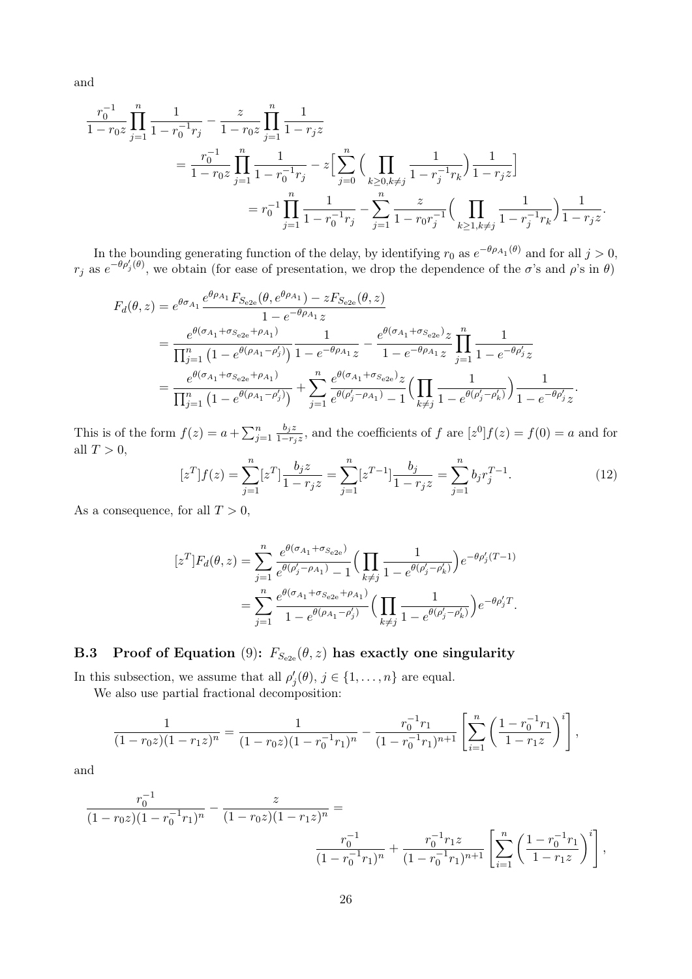and

$$
\frac{r_0^{-1}}{1 - r_0 z} \prod_{j=1}^n \frac{1}{1 - r_0^{-1} r_j} - \frac{z}{1 - r_0 z} \prod_{j=1}^n \frac{1}{1 - r_j z}
$$
\n
$$
= \frac{r_0^{-1}}{1 - r_0 z} \prod_{j=1}^n \frac{1}{1 - r_0^{-1} r_j} - z \Big[ \sum_{j=0}^n \Big( \prod_{k \ge 0, k \ne j} \frac{1}{1 - r_j^{-1} r_k} \Big) \frac{1}{1 - r_j z} \Big]
$$
\n
$$
= r_0^{-1} \prod_{j=1}^n \frac{1}{1 - r_0^{-1} r_j} - \sum_{j=1}^n \frac{z}{1 - r_0 r_j^{-1}} \Big( \prod_{k \ge 1, k \ne j} \frac{1}{1 - r_j^{-1} r_k} \Big) \frac{1}{1 - r_j z}
$$

In the bounding generating function of the delay, by identifying  $r_0$  as  $e^{-\theta \rho_{A_1}(\theta)}$  and for all  $j > 0$ ,  $r_j$  as  $e^{-\theta \rho'_j(\theta)}$ , we obtain (for ease of presentation, we drop the dependence of the  $\sigma$ 's and  $\rho$ 's in  $\theta$ )

$$
F_d(\theta, z) = e^{\theta \sigma_{A_1}} \frac{e^{\theta \rho_{A_1}} F_{S_{e2e}}(\theta, e^{\theta \rho_{A_1}}) - z F_{S_{e2e}}(\theta, z)}{1 - e^{-\theta \rho_{A_1}} z}
$$
  
= 
$$
\frac{e^{\theta(\sigma_{A_1} + \sigma_{S_{e2e}} + \rho_{A_1})}}{\prod_{j=1}^n (1 - e^{\theta(\rho_{A_1} - \rho'_j)})} \frac{1}{1 - e^{-\theta \rho_{A_1}} z} - \frac{e^{\theta(\sigma_{A_1} + \sigma_{S_{e2e}})} z}{1 - e^{-\theta \rho_{A_1}} z} \prod_{j=1}^n \frac{1}{1 - e^{-\theta \rho'_j} z}
$$
  
= 
$$
\frac{e^{\theta(\sigma_{A_1} + \sigma_{S_{e2e}} + \rho_{A_1})}}{\prod_{j=1}^n (1 - e^{\theta(\rho_{A_1} - \rho'_j)})} + \sum_{j=1}^n \frac{e^{\theta(\sigma_{A_1} + \sigma_{S_{e2e}})} z}{e^{\theta(\rho'_j - \rho_{A_1})} - 1} \Big(\prod_{k \neq j} \frac{1}{1 - e^{\theta(\rho'_j - \rho'_k)}}\Big) \frac{1}{1 - e^{-\theta \rho'_j} z}.
$$

This is of the form  $f(z) = a + \sum_{j=1}^{n}$  $b_j z$  $\frac{b_j z}{1-r_j z}$ , and the coefficients of f are  $[z^0]f(z) = f(0) = a$  and for all  $T > 0$ ,

$$
[zT]f(z) = \sum_{j=1}^{n} [zT] \frac{b_j z}{1 - r_j z} = \sum_{j=1}^{n} [zT-1] \frac{b_j}{1 - r_j z} = \sum_{j=1}^{n} b_j r_j^{T-1}.
$$
 (12)

.

As a consequence, for all  $T > 0$ ,

$$
[z^T]F_d(\theta, z) = \sum_{j=1}^n \frac{e^{\theta(\sigma_{A_1} + \sigma_{S_{e2e}})}}{e^{\theta(\rho'_j - \rho_{A_1})} - 1} \Big(\prod_{k \neq j} \frac{1}{1 - e^{\theta(\rho'_j - \rho'_k)}}\Big) e^{-\theta \rho'_j (T-1)}
$$
  
= 
$$
\sum_{j=1}^n \frac{e^{\theta(\sigma_{A_1} + \sigma_{S_{e2e}} + \rho_{A_1})}}{1 - e^{\theta(\rho_{A_1} - \rho'_j)}} \Big(\prod_{k \neq j} \frac{1}{1 - e^{\theta(\rho'_j - \rho'_k)}}\Big) e^{-\theta \rho'_j T}.
$$

## B.3 Proof of Equation (9):  $F_{S_{e2e}}(\theta, z)$  has exactly one singularity

In this subsection, we assume that all  $\rho'_{j}(\theta), j \in \{1, ..., n\}$  are equal.

We also use partial fractional decomposition:

$$
\frac{1}{(1-r_0z)(1-r_1z)^n} = \frac{1}{(1-r_0z)(1-r_0^{-1}r_1)^n} - \frac{r_0^{-1}r_1}{(1-r_0^{-1}r_1)^{n+1}} \left[ \sum_{i=1}^n \left( \frac{1-r_0^{-1}r_1}{1-r_1z} \right)^i \right],
$$

and

$$
\frac{r_0^{-1}}{(1-r_0z)(1-r_0^{-1}r_1)^n} - \frac{z}{(1-r_0z)(1-r_1z)^n} = \frac{r_0^{-1}}{(1-r_0^{-1}r_1)^n} + \frac{r_0^{-1}r_1z}{(1-r_0^{-1}r_1)^{n+1}} \left[ \sum_{i=1}^n \left( \frac{1-r_0^{-1}r_1}{1-r_1z} \right)^i \right],
$$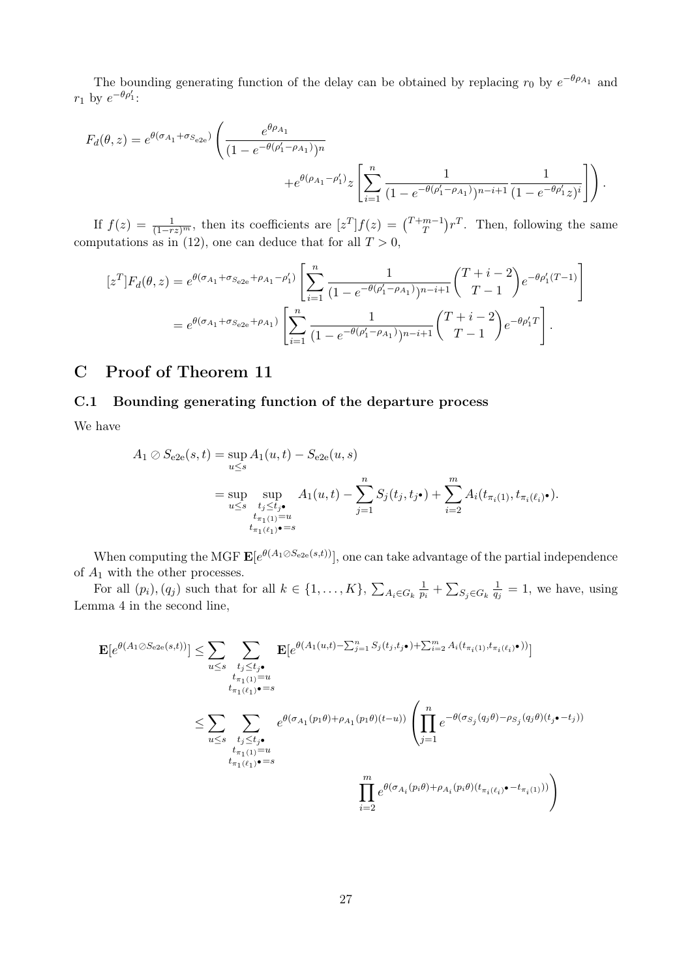The bounding generating function of the delay can be obtained by replacing  $r_0$  by  $e^{-\theta \rho_{A_1}}$  and  $r_1$  by  $e^{-\theta \rho'_1}$ :

$$
F_d(\theta, z) = e^{\theta(\sigma_{A_1} + \sigma_{S_{e2e}})} \left( \frac{e^{\theta \rho_{A_1}}}{(1 - e^{-\theta(\rho_1' - \rho_{A_1})})^n} + e^{\theta(\rho_{A_1} - \rho_1')} z \left[ \sum_{i=1}^n \frac{1}{(1 - e^{-\theta(\rho_1' - \rho_{A_1})})^{n-i+1}} \frac{1}{(1 - e^{-\theta \rho_1'} z)^i} \right] \right).
$$

If  $f(z) = \frac{1}{(1-rz)^m}$ , then its coefficients are  $[z^T]f(z) = {T+m-1 \choose T}$  $\binom{m-1}{T}r^T$ . Then, following the same computations as in (12), one can deduce that for all  $T > 0$ ,

$$
[z^T]F_d(\theta, z) = e^{\theta(\sigma_{A_1} + \sigma_{S_{e2e}} + \rho_{A_1} - \rho'_1)} \left[ \sum_{i=1}^n \frac{1}{(1 - e^{-\theta(\rho'_1 - \rho_{A_1})})^{n-i+1}} \binom{T+i-2}{T-1} e^{-\theta \rho'_1(T-1)} \right]
$$
  
= 
$$
e^{\theta(\sigma_{A_1} + \sigma_{S_{e2e}} + \rho_{A_1})} \left[ \sum_{i=1}^n \frac{1}{(1 - e^{-\theta(\rho'_1 - \rho_{A_1})})^{n-i+1}} \binom{T+i-2}{T-1} e^{-\theta \rho'_1 T} \right].
$$

## C Proof of Theorem 11

#### C.1 Bounding generating function of the departure process

We have

$$
A_1 \oslash S_{e2e}(s, t) = \sup_{u \le s} A_1(u, t) - S_{e2e}(u, s)
$$
  
= 
$$
\sup_{u \le s} \sup_{\substack{t_j \le t_j \bullet \\ t_{\pi_1(1)} = u}} A_1(u, t) - \sum_{j=1}^n S_j(t_j, t_{j\bullet}) + \sum_{i=2}^m A_i(t_{\pi_i(1)}, t_{\pi_i(\ell_i)\bullet}).
$$

When computing the MGF  $\mathbf{E}[e^{\theta(A_1 \oslash S_{e2e}(s,t))}],$  one can take advantage of the partial independence of  $\mathcal{A}_1$  with the other processes.

For all  $(p_i)$ ,  $(q_j)$  such that for all  $k \in \{1, \ldots, K\}$ ,  $\sum_{A_i \in G_k} \frac{1}{p_i}$  $\frac{1}{p_i}+\sum_{S_j\in G_k}\frac{1}{q_j}$  $\frac{1}{q_j} = 1$ , we have, using Lemma 4 in the second line,

$$
\mathbf{E}[e^{\theta(A_1 \oslash S_{e2e}(s,t))}] \leq \sum_{u \leq s} \sum_{\substack{t_j \leq t_j \bullet \\ t_{\pi_1(1)} = u \\ t_{\pi_1(\ell_1)} \bullet s}} \mathbf{E}[e^{\theta(A_1(u,t) - \sum_{j=1}^n S_j(t_j,t_j\bullet) + \sum_{i=2}^m A_i(t_{\pi_i(1)},t_{\pi_i(\ell_i)}\bullet))}]
$$
\n
$$
\leq \sum_{u \leq s} \sum_{\substack{t_j \leq t_j \bullet \\ t_j \leq t_j \bullet \\ t_{\pi_1(1)} = u \\ t_{\pi_1(\ell_1)} \bullet s}} e^{\theta(\sigma_{A_1}(p_1\theta) + \rho_{A_1}(p_1\theta)(t-u))} \left(\prod_{j=1}^n e^{-\theta(\sigma_{S_j}(q_j\theta) - \rho_{S_j}(q_j\theta)(t_j\bullet - t_j))}\right)
$$
\n
$$
\prod_{i=2}^m e^{\theta(\sigma_{A_i}(p_i\theta) + \rho_{A_i}(p_i\theta)(t_{\pi_i(\ell_i)}\bullet - t_{\pi_i(1)}))}\right)
$$